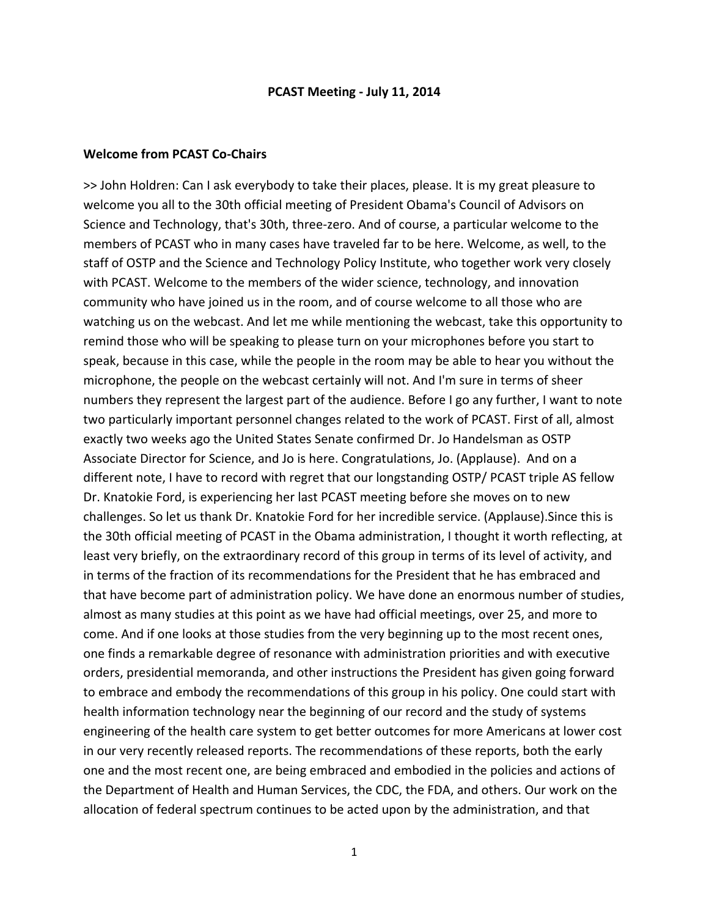#### **PCAST Meeting ‐ July 11, 2014**

### **Welcome from PCAST Co‐Chairs**

>> John Holdren: Can I ask everybody to take their places, please. It is my great pleasure to welcome you all to the 30th official meeting of President Obama's Council of Advisors on Science and Technology, that's 30th, three‐zero. And of course, a particular welcome to the members of PCAST who in many cases have traveled far to be here. Welcome, as well, to the staff of OSTP and the Science and Technology Policy Institute, who together work very closely with PCAST. Welcome to the members of the wider science, technology, and innovation community who have joined us in the room, and of course welcome to all those who are watching us on the webcast. And let me while mentioning the webcast, take this opportunity to remind those who will be speaking to please turn on your microphones before you start to speak, because in this case, while the people in the room may be able to hear you without the microphone, the people on the webcast certainly will not. And I'm sure in terms of sheer numbers they represent the largest part of the audience. Before I go any further, I want to note two particularly important personnel changes related to the work of PCAST. First of all, almost exactly two weeks ago the United States Senate confirmed Dr. Jo Handelsman as OSTP Associate Director for Science, and Jo is here. Congratulations, Jo. (Applause). And on a different note, I have to record with regret that our longstanding OSTP/ PCAST triple AS fellow Dr. Knatokie Ford, is experiencing her last PCAST meeting before she moves on to new challenges. So let us thank Dr. Knatokie Ford for her incredible service. (Applause).Since this is the 30th official meeting of PCAST in the Obama administration, I thought it worth reflecting, at least very briefly, on the extraordinary record of this group in terms of its level of activity, and in terms of the fraction of its recommendations for the President that he has embraced and that have become part of administration policy. We have done an enormous number of studies, almost as many studies at this point as we have had official meetings, over 25, and more to come. And if one looks at those studies from the very beginning up to the most recent ones, one finds a remarkable degree of resonance with administration priorities and with executive orders, presidential memoranda, and other instructions the President has given going forward to embrace and embody the recommendations of this group in his policy. One could start with health information technology near the beginning of our record and the study of systems engineering of the health care system to get better outcomes for more Americans at lower cost in our very recently released reports. The recommendations of these reports, both the early one and the most recent one, are being embraced and embodied in the policies and actions of the Department of Health and Human Services, the CDC, the FDA, and others. Our work on the allocation of federal spectrum continues to be acted upon by the administration, and that

1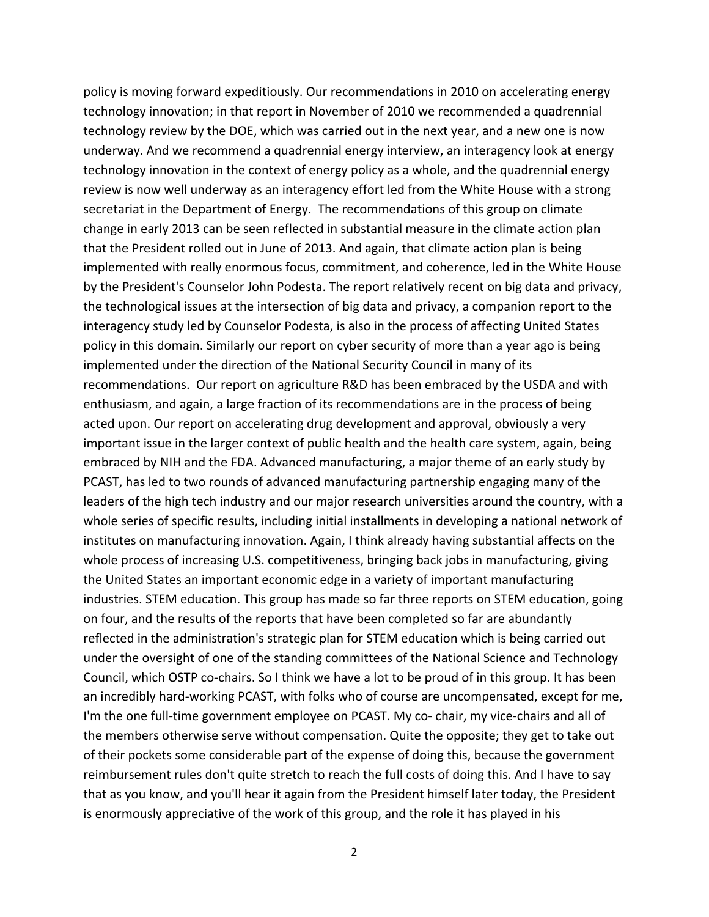policy is moving forward expeditiously. Our recommendations in 2010 on accelerating energy technology innovation; in that report in November of 2010 we recommended a quadrennial technology review by the DOE, which was carried out in the next year, and a new one is now underway. And we recommend a quadrennial energy interview, an interagency look at energy technology innovation in the context of energy policy as a whole, and the quadrennial energy review is now well underway as an interagency effort led from the White House with a strong secretariat in the Department of Energy. The recommendations of this group on climate change in early 2013 can be seen reflected in substantial measure in the climate action plan that the President rolled out in June of 2013. And again, that climate action plan is being implemented with really enormous focus, commitment, and coherence, led in the White House by the President's Counselor John Podesta. The report relatively recent on big data and privacy, the technological issues at the intersection of big data and privacy, a companion report to the interagency study led by Counselor Podesta, is also in the process of affecting United States policy in this domain. Similarly our report on cyber security of more than a year ago is being implemented under the direction of the National Security Council in many of its recommendations. Our report on agriculture R&D has been embraced by the USDA and with enthusiasm, and again, a large fraction of its recommendations are in the process of being acted upon. Our report on accelerating drug development and approval, obviously a very important issue in the larger context of public health and the health care system, again, being embraced by NIH and the FDA. Advanced manufacturing, a major theme of an early study by PCAST, has led to two rounds of advanced manufacturing partnership engaging many of the leaders of the high tech industry and our major research universities around the country, with a whole series of specific results, including initial installments in developing a national network of institutes on manufacturing innovation. Again, I think already having substantial affects on the whole process of increasing U.S. competitiveness, bringing back jobs in manufacturing, giving the United States an important economic edge in a variety of important manufacturing industries. STEM education. This group has made so far three reports on STEM education, going on four, and the results of the reports that have been completed so far are abundantly reflected in the administration's strategic plan for STEM education which is being carried out under the oversight of one of the standing committees of the National Science and Technology Council, which OSTP co‐chairs. So I think we have a lot to be proud of in this group. It has been an incredibly hard‐working PCAST, with folks who of course are uncompensated, except for me, I'm the one full-time government employee on PCAST. My co-chair, my vice-chairs and all of the members otherwise serve without compensation. Quite the opposite; they get to take out of their pockets some considerable part of the expense of doing this, because the government reimbursement rules don't quite stretch to reach the full costs of doing this. And I have to say that as you know, and you'll hear it again from the President himself later today, the President is enormously appreciative of the work of this group, and the role it has played in his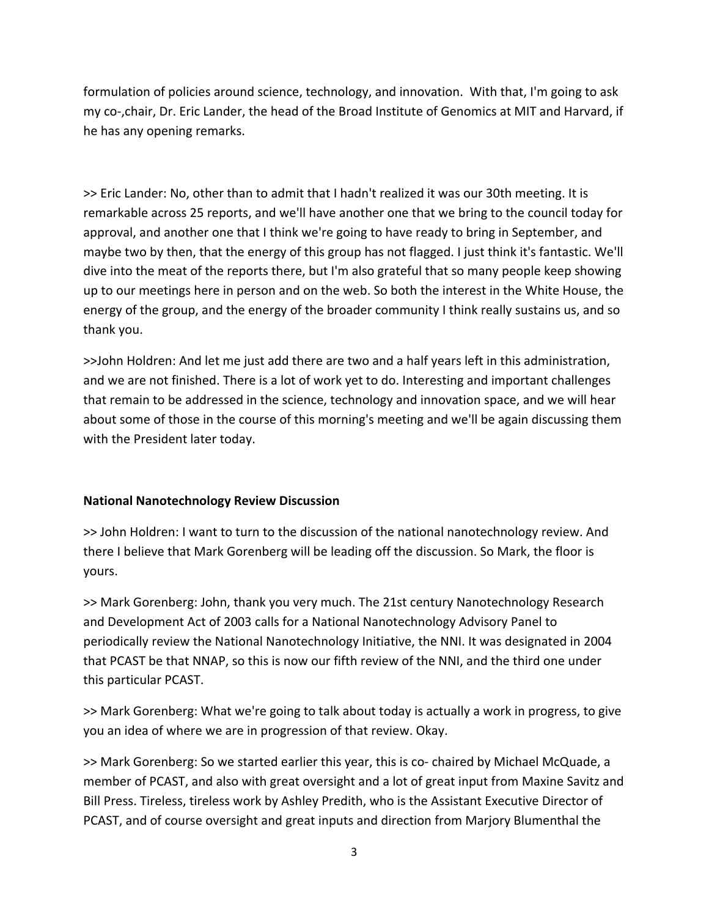formulation of policies around science, technology, and innovation. With that, I'm going to ask my co‐,chair, Dr. Eric Lander, the head of the Broad Institute of Genomics at MIT and Harvard, if he has any opening remarks.

>> Eric Lander: No, other than to admit that I hadn't realized it was our 30th meeting. It is remarkable across 25 reports, and we'll have another one that we bring to the council today for approval, and another one that I think we're going to have ready to bring in September, and maybe two by then, that the energy of this group has not flagged. I just think it's fantastic. We'll dive into the meat of the reports there, but I'm also grateful that so many people keep showing up to our meetings here in person and on the web. So both the interest in the White House, the energy of the group, and the energy of the broader community I think really sustains us, and so thank you.

>>John Holdren: And let me just add there are two and a half years left in this administration, and we are not finished. There is a lot of work yet to do. Interesting and important challenges that remain to be addressed in the science, technology and innovation space, and we will hear about some of those in the course of this morning's meeting and we'll be again discussing them with the President later today.

# **National Nanotechnology Review Discussion**

>> John Holdren: I want to turn to the discussion of the national nanotechnology review. And there I believe that Mark Gorenberg will be leading off the discussion. So Mark, the floor is yours.

>> Mark Gorenberg: John, thank you very much. The 21st century Nanotechnology Research and Development Act of 2003 calls for a National Nanotechnology Advisory Panel to periodically review the National Nanotechnology Initiative, the NNI. It was designated in 2004 that PCAST be that NNAP, so this is now our fifth review of the NNI, and the third one under this particular PCAST.

>> Mark Gorenberg: What we're going to talk about today is actually a work in progress, to give you an idea of where we are in progression of that review. Okay.

>> Mark Gorenberg: So we started earlier this year, this is co-chaired by Michael McQuade, a member of PCAST, and also with great oversight and a lot of great input from Maxine Savitz and Bill Press. Tireless, tireless work by Ashley Predith, who is the Assistant Executive Director of PCAST, and of course oversight and great inputs and direction from Marjory Blumenthal the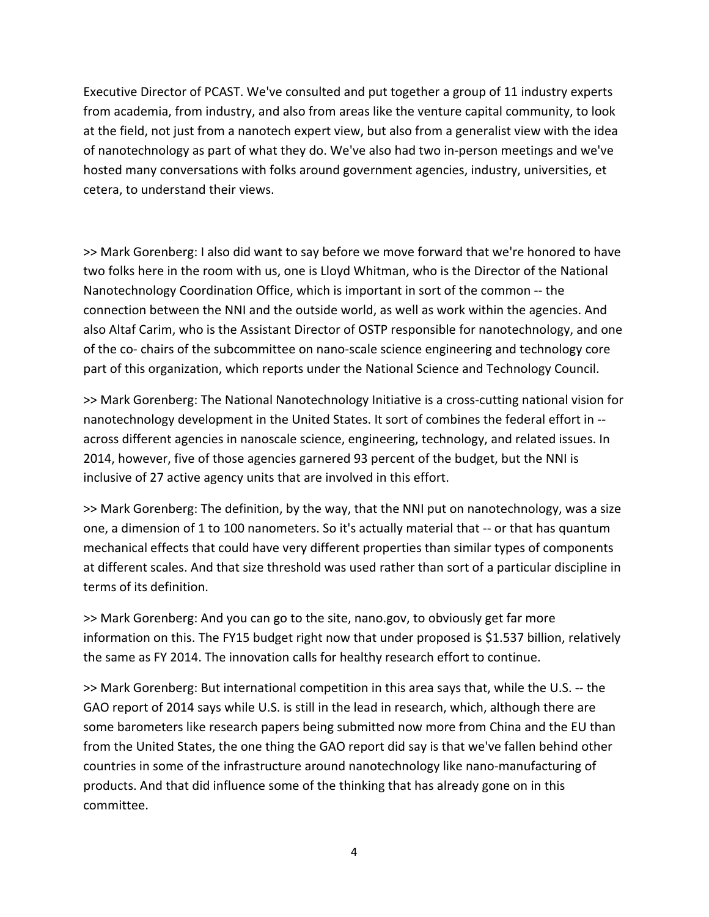Executive Director of PCAST. We've consulted and put together a group of 11 industry experts from academia, from industry, and also from areas like the venture capital community, to look at the field, not just from a nanotech expert view, but also from a generalist view with the idea of nanotechnology as part of what they do. We've also had two in‐person meetings and we've hosted many conversations with folks around government agencies, industry, universities, et cetera, to understand their views.

>> Mark Gorenberg: I also did want to say before we move forward that we're honored to have two folks here in the room with us, one is Lloyd Whitman, who is the Director of the National Nanotechnology Coordination Office, which is important in sort of the common ‐‐ the connection between the NNI and the outside world, as well as work within the agencies. And also Altaf Carim, who is the Assistant Director of OSTP responsible for nanotechnology, and one of the co‐ chairs of the subcommittee on nano‐scale science engineering and technology core part of this organization, which reports under the National Science and Technology Council.

>> Mark Gorenberg: The National Nanotechnology Initiative is a cross-cutting national vision for nanotechnology development in the United States. It sort of combines the federal effort in ‐‐ across different agencies in nanoscale science, engineering, technology, and related issues. In 2014, however, five of those agencies garnered 93 percent of the budget, but the NNI is inclusive of 27 active agency units that are involved in this effort.

>> Mark Gorenberg: The definition, by the way, that the NNI put on nanotechnology, was a size one, a dimension of 1 to 100 nanometers. So it's actually material that ‐‐ or that has quantum mechanical effects that could have very different properties than similar types of components at different scales. And that size threshold was used rather than sort of a particular discipline in terms of its definition.

>> Mark Gorenberg: And you can go to the site, nano.gov, to obviously get far more information on this. The FY15 budget right now that under proposed is \$1.537 billion, relatively the same as FY 2014. The innovation calls for healthy research effort to continue.

>> Mark Gorenberg: But international competition in this area says that, while the U.S. ‐‐ the GAO report of 2014 says while U.S. is still in the lead in research, which, although there are some barometers like research papers being submitted now more from China and the EU than from the United States, the one thing the GAO report did say is that we've fallen behind other countries in some of the infrastructure around nanotechnology like nano‐manufacturing of products. And that did influence some of the thinking that has already gone on in this committee.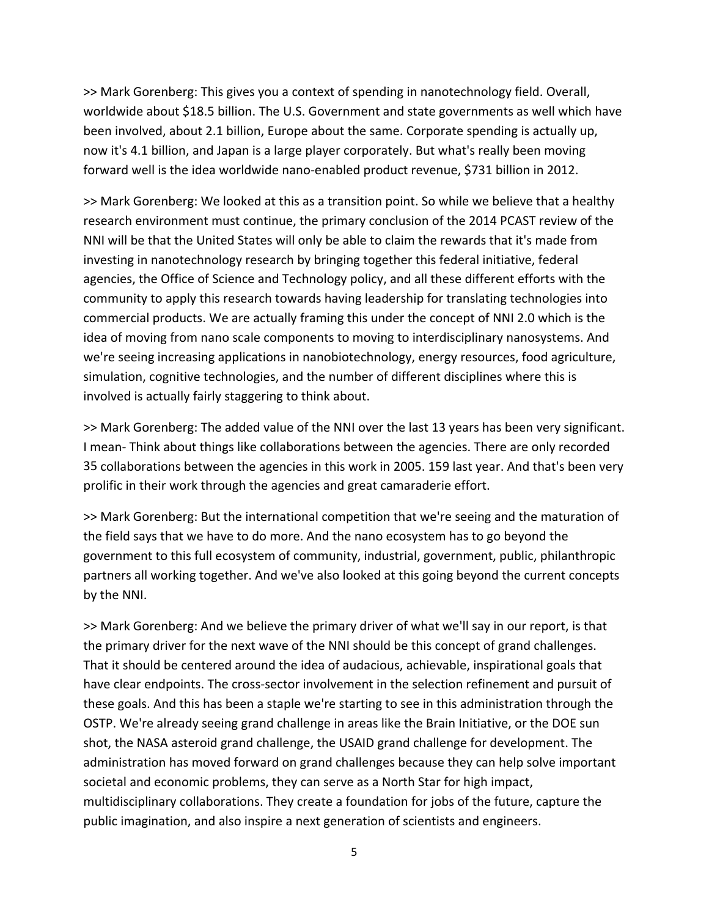>> Mark Gorenberg: This gives you a context of spending in nanotechnology field. Overall, worldwide about \$18.5 billion. The U.S. Government and state governments as well which have been involved, about 2.1 billion, Europe about the same. Corporate spending is actually up, now it's 4.1 billion, and Japan is a large player corporately. But what's really been moving forward well is the idea worldwide nano‐enabled product revenue, \$731 billion in 2012.

>> Mark Gorenberg: We looked at this as a transition point. So while we believe that a healthy research environment must continue, the primary conclusion of the 2014 PCAST review of the NNI will be that the United States will only be able to claim the rewards that it's made from investing in nanotechnology research by bringing together this federal initiative, federal agencies, the Office of Science and Technology policy, and all these different efforts with the community to apply this research towards having leadership for translating technologies into commercial products. We are actually framing this under the concept of NNI 2.0 which is the idea of moving from nano scale components to moving to interdisciplinary nanosystems. And we're seeing increasing applications in nanobiotechnology, energy resources, food agriculture, simulation, cognitive technologies, and the number of different disciplines where this is involved is actually fairly staggering to think about.

>> Mark Gorenberg: The added value of the NNI over the last 13 years has been very significant. I mean‐ Think about things like collaborations between the agencies. There are only recorded 35 collaborations between the agencies in this work in 2005. 159 last year. And that's been very prolific in their work through the agencies and great camaraderie effort.

>> Mark Gorenberg: But the international competition that we're seeing and the maturation of the field says that we have to do more. And the nano ecosystem has to go beyond the government to this full ecosystem of community, industrial, government, public, philanthropic partners all working together. And we've also looked at this going beyond the current concepts by the NNI.

>> Mark Gorenberg: And we believe the primary driver of what we'll say in our report, is that the primary driver for the next wave of the NNI should be this concept of grand challenges. That it should be centered around the idea of audacious, achievable, inspirational goals that have clear endpoints. The cross‐sector involvement in the selection refinement and pursuit of these goals. And this has been a staple we're starting to see in this administration through the OSTP. We're already seeing grand challenge in areas like the Brain Initiative, or the DOE sun shot, the NASA asteroid grand challenge, the USAID grand challenge for development. The administration has moved forward on grand challenges because they can help solve important societal and economic problems, they can serve as a North Star for high impact, multidisciplinary collaborations. They create a foundation for jobs of the future, capture the public imagination, and also inspire a next generation of scientists and engineers.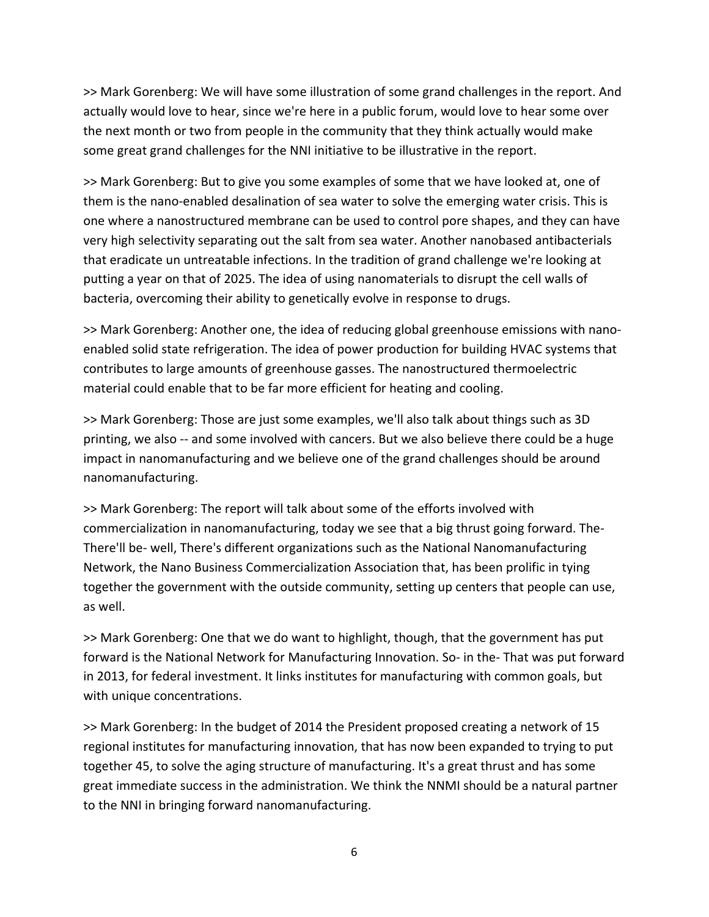>> Mark Gorenberg: We will have some illustration of some grand challenges in the report. And actually would love to hear, since we're here in a public forum, would love to hear some over the next month or two from people in the community that they think actually would make some great grand challenges for the NNI initiative to be illustrative in the report.

>> Mark Gorenberg: But to give you some examples of some that we have looked at, one of them is the nano‐enabled desalination of sea water to solve the emerging water crisis. This is one where a nanostructured membrane can be used to control pore shapes, and they can have very high selectivity separating out the salt from sea water. Another nanobased antibacterials that eradicate un untreatable infections. In the tradition of grand challenge we're looking at putting a year on that of 2025. The idea of using nanomaterials to disrupt the cell walls of bacteria, overcoming their ability to genetically evolve in response to drugs.

>> Mark Gorenberg: Another one, the idea of reducing global greenhouse emissions with nano‐ enabled solid state refrigeration. The idea of power production for building HVAC systems that contributes to large amounts of greenhouse gasses. The nanostructured thermoelectric material could enable that to be far more efficient for heating and cooling.

>> Mark Gorenberg: Those are just some examples, we'll also talk about things such as 3D printing, we also -- and some involved with cancers. But we also believe there could be a huge impact in nanomanufacturing and we believe one of the grand challenges should be around nanomanufacturing.

>> Mark Gorenberg: The report will talk about some of the efforts involved with commercialization in nanomanufacturing, today we see that a big thrust going forward. The‐ There'll be‐ well, There's different organizations such as the National Nanomanufacturing Network, the Nano Business Commercialization Association that, has been prolific in tying together the government with the outside community, setting up centers that people can use, as well.

>> Mark Gorenberg: One that we do want to highlight, though, that the government has put forward is the National Network for Manufacturing Innovation. So- in the-That was put forward in 2013, for federal investment. It links institutes for manufacturing with common goals, but with unique concentrations.

>> Mark Gorenberg: In the budget of 2014 the President proposed creating a network of 15 regional institutes for manufacturing innovation, that has now been expanded to trying to put together 45, to solve the aging structure of manufacturing. It's a great thrust and has some great immediate success in the administration. We think the NNMI should be a natural partner to the NNI in bringing forward nanomanufacturing.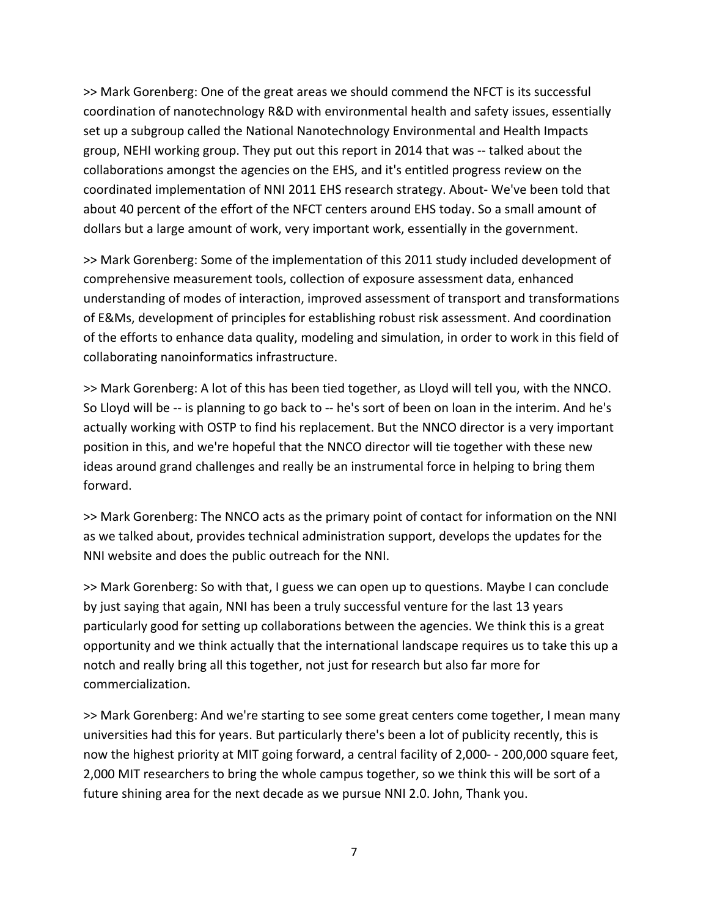>> Mark Gorenberg: One of the great areas we should commend the NFCT is its successful coordination of nanotechnology R&D with environmental health and safety issues, essentially set up a subgroup called the National Nanotechnology Environmental and Health Impacts group, NEHI working group. They put out this report in 2014 that was ‐‐ talked about the collaborations amongst the agencies on the EHS, and it's entitled progress review on the coordinated implementation of NNI 2011 EHS research strategy. About‐ We've been told that about 40 percent of the effort of the NFCT centers around EHS today. So a small amount of dollars but a large amount of work, very important work, essentially in the government.

>> Mark Gorenberg: Some of the implementation of this 2011 study included development of comprehensive measurement tools, collection of exposure assessment data, enhanced understanding of modes of interaction, improved assessment of transport and transformations of E&Ms, development of principles for establishing robust risk assessment. And coordination of the efforts to enhance data quality, modeling and simulation, in order to work in this field of collaborating nanoinformatics infrastructure.

>> Mark Gorenberg: A lot of this has been tied together, as Lloyd will tell you, with the NNCO. So Lloyd will be ‐‐ is planning to go back to ‐‐ he's sort of been on loan in the interim. And he's actually working with OSTP to find his replacement. But the NNCO director is a very important position in this, and we're hopeful that the NNCO director will tie together with these new ideas around grand challenges and really be an instrumental force in helping to bring them forward.

>> Mark Gorenberg: The NNCO acts as the primary point of contact for information on the NNI as we talked about, provides technical administration support, develops the updates for the NNI website and does the public outreach for the NNI.

>> Mark Gorenberg: So with that, I guess we can open up to questions. Maybe I can conclude by just saying that again, NNI has been a truly successful venture for the last 13 years particularly good for setting up collaborations between the agencies. We think this is a great opportunity and we think actually that the international landscape requires us to take this up a notch and really bring all this together, not just for research but also far more for commercialization.

>> Mark Gorenberg: And we're starting to see some great centers come together, I mean many universities had this for years. But particularly there's been a lot of publicity recently, this is now the highest priority at MIT going forward, a central facility of 2,000‐ ‐ 200,000 square feet, 2,000 MIT researchers to bring the whole campus together, so we think this will be sort of a future shining area for the next decade as we pursue NNI 2.0. John, Thank you.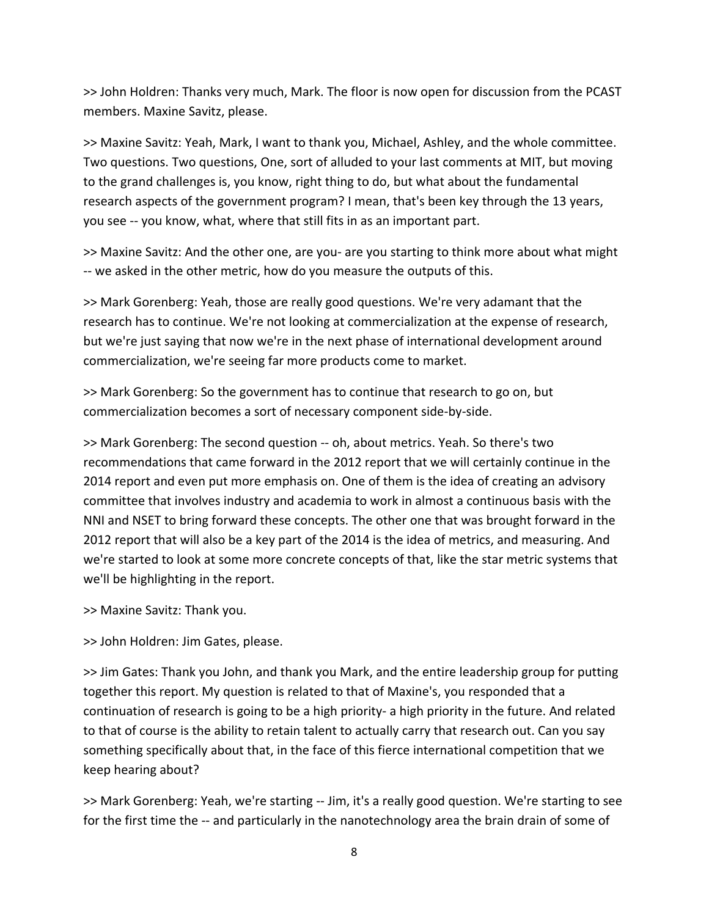>> John Holdren: Thanks very much, Mark. The floor is now open for discussion from the PCAST members. Maxine Savitz, please.

>> Maxine Savitz: Yeah, Mark, I want to thank you, Michael, Ashley, and the whole committee. Two questions. Two questions, One, sort of alluded to your last comments at MIT, but moving to the grand challenges is, you know, right thing to do, but what about the fundamental research aspects of the government program? I mean, that's been key through the 13 years, you see ‐‐ you know, what, where that still fits in as an important part.

>> Maxine Savitz: And the other one, are you‐ are you starting to think more about what might ‐‐ we asked in the other metric, how do you measure the outputs of this.

>> Mark Gorenberg: Yeah, those are really good questions. We're very adamant that the research has to continue. We're not looking at commercialization at the expense of research, but we're just saying that now we're in the next phase of international development around commercialization, we're seeing far more products come to market.

>> Mark Gorenberg: So the government has to continue that research to go on, but commercialization becomes a sort of necessary component side‐by‐side.

>> Mark Gorenberg: The second question ‐‐ oh, about metrics. Yeah. So there's two recommendations that came forward in the 2012 report that we will certainly continue in the 2014 report and even put more emphasis on. One of them is the idea of creating an advisory committee that involves industry and academia to work in almost a continuous basis with the NNI and NSET to bring forward these concepts. The other one that was brought forward in the 2012 report that will also be a key part of the 2014 is the idea of metrics, and measuring. And we're started to look at some more concrete concepts of that, like the star metric systems that we'll be highlighting in the report.

>> Maxine Savitz: Thank you.

>> John Holdren: Jim Gates, please.

>> Jim Gates: Thank you John, and thank you Mark, and the entire leadership group for putting together this report. My question is related to that of Maxine's, you responded that a continuation of research is going to be a high priority‐ a high priority in the future. And related to that of course is the ability to retain talent to actually carry that research out. Can you say something specifically about that, in the face of this fierce international competition that we keep hearing about?

>> Mark Gorenberg: Yeah, we're starting ‐‐ Jim, it's a really good question. We're starting to see for the first time the -- and particularly in the nanotechnology area the brain drain of some of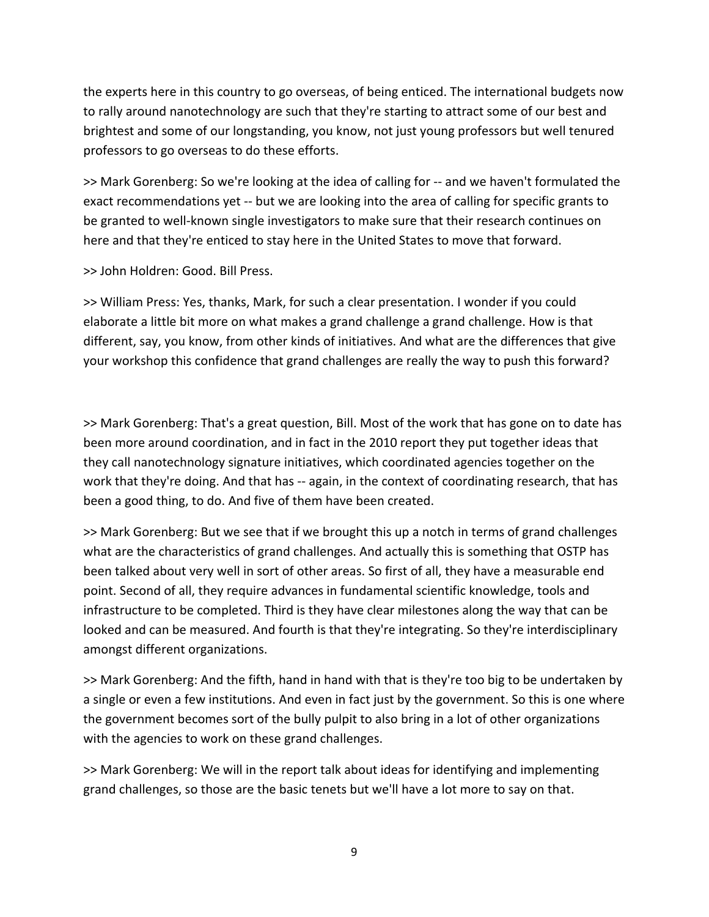the experts here in this country to go overseas, of being enticed. The international budgets now to rally around nanotechnology are such that they're starting to attract some of our best and brightest and some of our longstanding, you know, not just young professors but well tenured professors to go overseas to do these efforts.

>> Mark Gorenberg: So we're looking at the idea of calling for ‐‐ and we haven't formulated the exact recommendations yet -- but we are looking into the area of calling for specific grants to be granted to well‐known single investigators to make sure that their research continues on here and that they're enticed to stay here in the United States to move that forward.

>> John Holdren: Good. Bill Press.

>> William Press: Yes, thanks, Mark, for such a clear presentation. I wonder if you could elaborate a little bit more on what makes a grand challenge a grand challenge. How is that different, say, you know, from other kinds of initiatives. And what are the differences that give your workshop this confidence that grand challenges are really the way to push this forward?

>> Mark Gorenberg: That's a great question, Bill. Most of the work that has gone on to date has been more around coordination, and in fact in the 2010 report they put together ideas that they call nanotechnology signature initiatives, which coordinated agencies together on the work that they're doing. And that has -- again, in the context of coordinating research, that has been a good thing, to do. And five of them have been created.

>> Mark Gorenberg: But we see that if we brought this up a notch in terms of grand challenges what are the characteristics of grand challenges. And actually this is something that OSTP has been talked about very well in sort of other areas. So first of all, they have a measurable end point. Second of all, they require advances in fundamental scientific knowledge, tools and infrastructure to be completed. Third is they have clear milestones along the way that can be looked and can be measured. And fourth is that they're integrating. So they're interdisciplinary amongst different organizations.

>> Mark Gorenberg: And the fifth, hand in hand with that is they're too big to be undertaken by a single or even a few institutions. And even in fact just by the government. So this is one where the government becomes sort of the bully pulpit to also bring in a lot of other organizations with the agencies to work on these grand challenges.

>> Mark Gorenberg: We will in the report talk about ideas for identifying and implementing grand challenges, so those are the basic tenets but we'll have a lot more to say on that.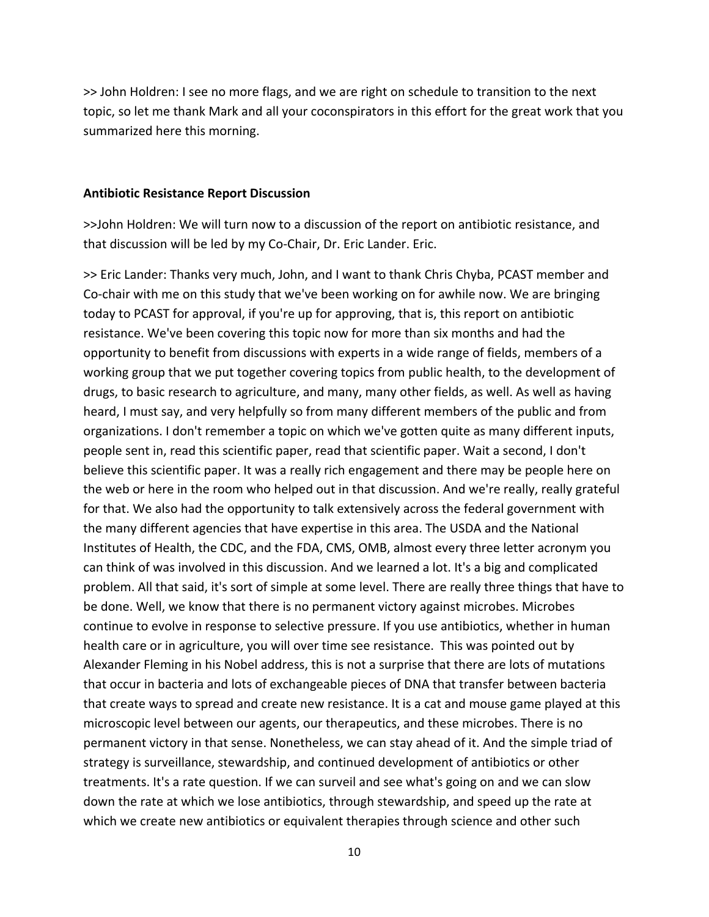>> John Holdren: I see no more flags, and we are right on schedule to transition to the next topic, so let me thank Mark and all your coconspirators in this effort for the great work that you summarized here this morning.

#### **Antibiotic Resistance Report Discussion**

>>John Holdren: We will turn now to a discussion of the report on antibiotic resistance, and that discussion will be led by my Co‐Chair, Dr. Eric Lander. Eric.

>> Eric Lander: Thanks very much, John, and I want to thank Chris Chyba, PCAST member and Co-chair with me on this study that we've been working on for awhile now. We are bringing today to PCAST for approval, if you're up for approving, that is, this report on antibiotic resistance. We've been covering this topic now for more than six months and had the opportunity to benefit from discussions with experts in a wide range of fields, members of a working group that we put together covering topics from public health, to the development of drugs, to basic research to agriculture, and many, many other fields, as well. As well as having heard, I must say, and very helpfully so from many different members of the public and from organizations. I don't remember a topic on which we've gotten quite as many different inputs, people sent in, read this scientific paper, read that scientific paper. Wait a second, I don't believe this scientific paper. It was a really rich engagement and there may be people here on the web or here in the room who helped out in that discussion. And we're really, really grateful for that. We also had the opportunity to talk extensively across the federal government with the many different agencies that have expertise in this area. The USDA and the National Institutes of Health, the CDC, and the FDA, CMS, OMB, almost every three letter acronym you can think of was involved in this discussion. And we learned a lot. It's a big and complicated problem. All that said, it's sort of simple at some level. There are really three things that have to be done. Well, we know that there is no permanent victory against microbes. Microbes continue to evolve in response to selective pressure. If you use antibiotics, whether in human health care or in agriculture, you will over time see resistance. This was pointed out by Alexander Fleming in his Nobel address, this is not a surprise that there are lots of mutations that occur in bacteria and lots of exchangeable pieces of DNA that transfer between bacteria that create ways to spread and create new resistance. It is a cat and mouse game played at this microscopic level between our agents, our therapeutics, and these microbes. There is no permanent victory in that sense. Nonetheless, we can stay ahead of it. And the simple triad of strategy is surveillance, stewardship, and continued development of antibiotics or other treatments. It's a rate question. If we can surveil and see what's going on and we can slow down the rate at which we lose antibiotics, through stewardship, and speed up the rate at which we create new antibiotics or equivalent therapies through science and other such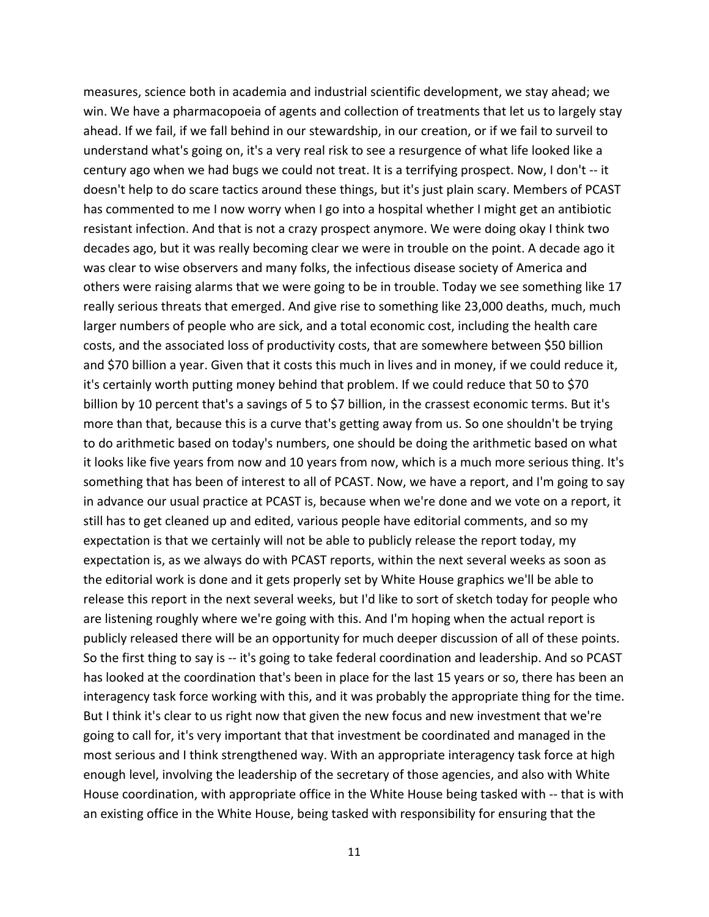measures, science both in academia and industrial scientific development, we stay ahead; we win. We have a pharmacopoeia of agents and collection of treatments that let us to largely stay ahead. If we fail, if we fall behind in our stewardship, in our creation, or if we fail to surveil to understand what's going on, it's a very real risk to see a resurgence of what life looked like a century ago when we had bugs we could not treat. It is a terrifying prospect. Now, I don't ‐‐ it doesn't help to do scare tactics around these things, but it's just plain scary. Members of PCAST has commented to me I now worry when I go into a hospital whether I might get an antibiotic resistant infection. And that is not a crazy prospect anymore. We were doing okay I think two decades ago, but it was really becoming clear we were in trouble on the point. A decade ago it was clear to wise observers and many folks, the infectious disease society of America and others were raising alarms that we were going to be in trouble. Today we see something like 17 really serious threats that emerged. And give rise to something like 23,000 deaths, much, much larger numbers of people who are sick, and a total economic cost, including the health care costs, and the associated loss of productivity costs, that are somewhere between \$50 billion and \$70 billion a year. Given that it costs this much in lives and in money, if we could reduce it, it's certainly worth putting money behind that problem. If we could reduce that 50 to \$70 billion by 10 percent that's a savings of 5 to \$7 billion, in the crassest economic terms. But it's more than that, because this is a curve that's getting away from us. So one shouldn't be trying to do arithmetic based on today's numbers, one should be doing the arithmetic based on what it looks like five years from now and 10 years from now, which is a much more serious thing. It's something that has been of interest to all of PCAST. Now, we have a report, and I'm going to say in advance our usual practice at PCAST is, because when we're done and we vote on a report, it still has to get cleaned up and edited, various people have editorial comments, and so my expectation is that we certainly will not be able to publicly release the report today, my expectation is, as we always do with PCAST reports, within the next several weeks as soon as the editorial work is done and it gets properly set by White House graphics we'll be able to release this report in the next several weeks, but I'd like to sort of sketch today for people who are listening roughly where we're going with this. And I'm hoping when the actual report is publicly released there will be an opportunity for much deeper discussion of all of these points. So the first thing to say is ‐‐ it's going to take federal coordination and leadership. And so PCAST has looked at the coordination that's been in place for the last 15 years or so, there has been an interagency task force working with this, and it was probably the appropriate thing for the time. But I think it's clear to us right now that given the new focus and new investment that we're going to call for, it's very important that that investment be coordinated and managed in the most serious and I think strengthened way. With an appropriate interagency task force at high enough level, involving the leadership of the secretary of those agencies, and also with White House coordination, with appropriate office in the White House being tasked with ‐‐ that is with an existing office in the White House, being tasked with responsibility for ensuring that the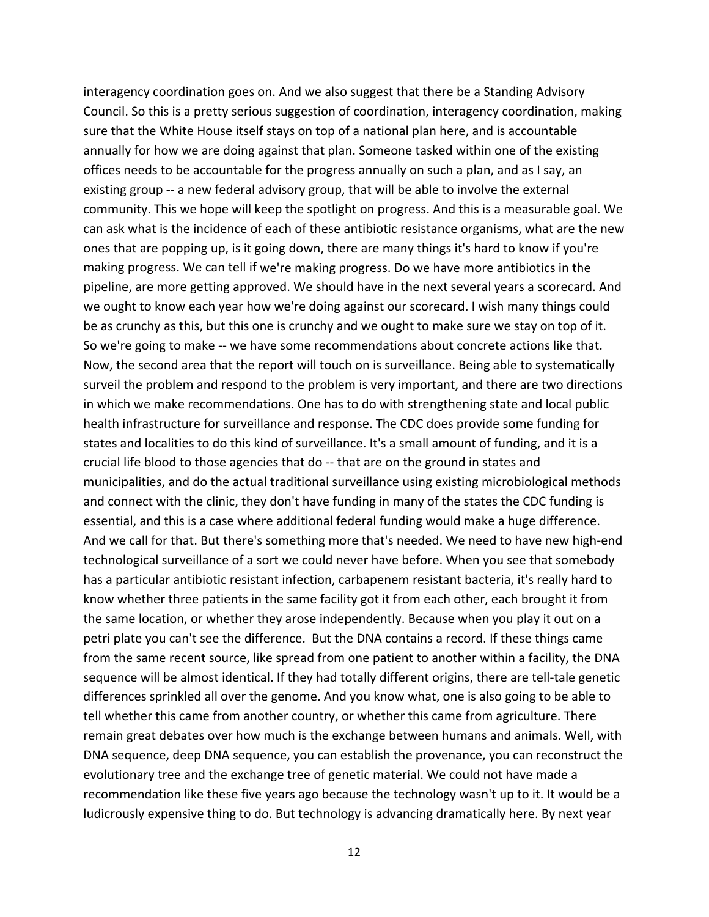interagency coordination goes on. And we also suggest that there be a Standing Advisory Council. So this is a pretty serious suggestion of coordination, interagency coordination, making sure that the White House itself stays on top of a national plan here, and is accountable annually for how we are doing against that plan. Someone tasked within one of the existing offices needs to be accountable for the progress annually on such a plan, and as I say, an existing group ‐‐ a new federal advisory group, that will be able to involve the external community. This we hope will keep the spotlight on progress. And this is a measurable goal. We can ask what is the incidence of each of these antibiotic resistance organisms, what are the new ones that are popping up, is it going down, there are many things it's hard to know if you're making progress. We can tell if we're making progress. Do we have more antibiotics in the pipeline, are more getting approved. We should have in the next several years a scorecard. And we ought to know each year how we're doing against our scorecard. I wish many things could be as crunchy as this, but this one is crunchy and we ought to make sure we stay on top of it. So we're going to make ‐‐ we have some recommendations about concrete actions like that. Now, the second area that the report will touch on is surveillance. Being able to systematically surveil the problem and respond to the problem is very important, and there are two directions in which we make recommendations. One has to do with strengthening state and local public health infrastructure for surveillance and response. The CDC does provide some funding for states and localities to do this kind of surveillance. It's a small amount of funding, and it is a crucial life blood to those agencies that do ‐‐ that are on the ground in states and municipalities, and do the actual traditional surveillance using existing microbiological methods and connect with the clinic, they don't have funding in many of the states the CDC funding is essential, and this is a case where additional federal funding would make a huge difference. And we call for that. But there's something more that's needed. We need to have new high-end technological surveillance of a sort we could never have before. When you see that somebody has a particular antibiotic resistant infection, carbapenem resistant bacteria, it's really hard to know whether three patients in the same facility got it from each other, each brought it from the same location, or whether they arose independently. Because when you play it out on a petri plate you can't see the difference. But the DNA contains a record. If these things came from the same recent source, like spread from one patient to another within a facility, the DNA sequence will be almost identical. If they had totally different origins, there are tell-tale genetic differences sprinkled all over the genome. And you know what, one is also going to be able to tell whether this came from another country, or whether this came from agriculture. There remain great debates over how much is the exchange between humans and animals. Well, with DNA sequence, deep DNA sequence, you can establish the provenance, you can reconstruct the evolutionary tree and the exchange tree of genetic material. We could not have made a recommendation like these five years ago because the technology wasn't up to it. It would be a ludicrously expensive thing to do. But technology is advancing dramatically here. By next year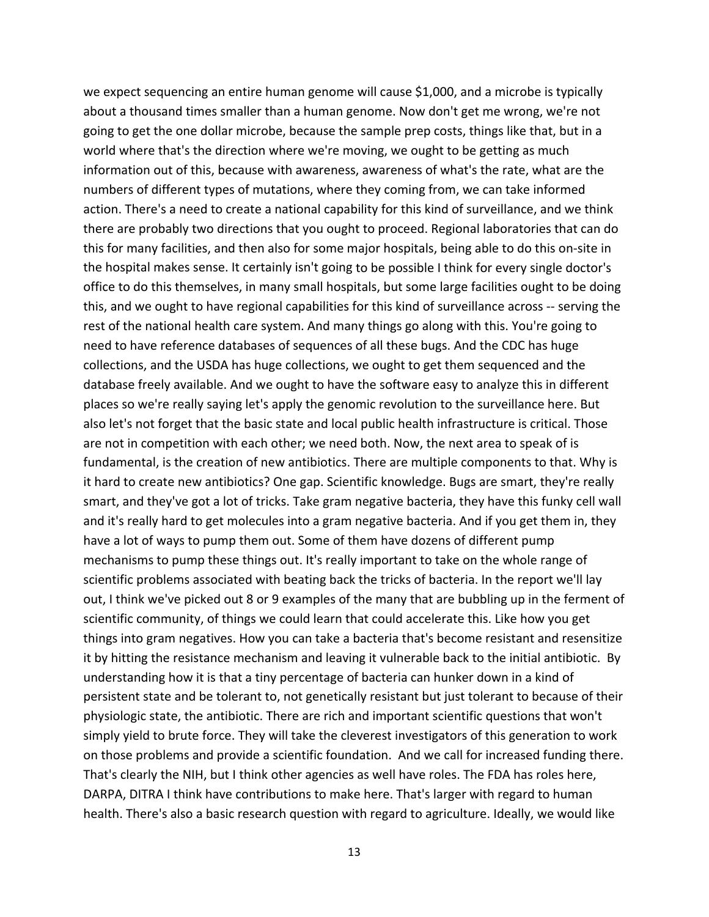we expect sequencing an entire human genome will cause \$1,000, and a microbe is typically about a thousand times smaller than a human genome. Now don't get me wrong, we're not going to get the one dollar microbe, because the sample prep costs, things like that, but in a world where that's the direction where we're moving, we ought to be getting as much information out of this, because with awareness, awareness of what's the rate, what are the numbers of different types of mutations, where they coming from, we can take informed action. There's a need to create a national capability for this kind of surveillance, and we think there are probably two directions that you ought to proceed. Regional laboratories that can do this for many facilities, and then also for some major hospitals, being able to do this on‐site in the hospital makes sense. It certainly isn't going to be possible I think for every single doctor's office to do this themselves, in many small hospitals, but some large facilities ought to be doing this, and we ought to have regional capabilities for this kind of surveillance across ‐‐ serving the rest of the national health care system. And many things go along with this. You're going to need to have reference databases of sequences of all these bugs. And the CDC has huge collections, and the USDA has huge collections, we ought to get them sequenced and the database freely available. And we ought to have the software easy to analyze this in different places so we're really saying let's apply the genomic revolution to the surveillance here. But also let's not forget that the basic state and local public health infrastructure is critical. Those are not in competition with each other; we need both. Now, the next area to speak of is fundamental, is the creation of new antibiotics. There are multiple components to that. Why is it hard to create new antibiotics? One gap. Scientific knowledge. Bugs are smart, they're really smart, and they've got a lot of tricks. Take gram negative bacteria, they have this funky cell wall and it's really hard to get molecules into a gram negative bacteria. And if you get them in, they have a lot of ways to pump them out. Some of them have dozens of different pump mechanisms to pump these things out. It's really important to take on the whole range of scientific problems associated with beating back the tricks of bacteria. In the report we'll lay out, I think we've picked out 8 or 9 examples of the many that are bubbling up in the ferment of scientific community, of things we could learn that could accelerate this. Like how you get things into gram negatives. How you can take a bacteria that's become resistant and resensitize it by hitting the resistance mechanism and leaving it vulnerable back to the initial antibiotic. By understanding how it is that a tiny percentage of bacteria can hunker down in a kind of persistent state and be tolerant to, not genetically resistant but just tolerant to because of their physiologic state, the antibiotic. There are rich and important scientific questions that won't simply yield to brute force. They will take the cleverest investigators of this generation to work on those problems and provide a scientific foundation. And we call for increased funding there. That's clearly the NIH, but I think other agencies as well have roles. The FDA has roles here, DARPA, DITRA I think have contributions to make here. That's larger with regard to human health. There's also a basic research question with regard to agriculture. Ideally, we would like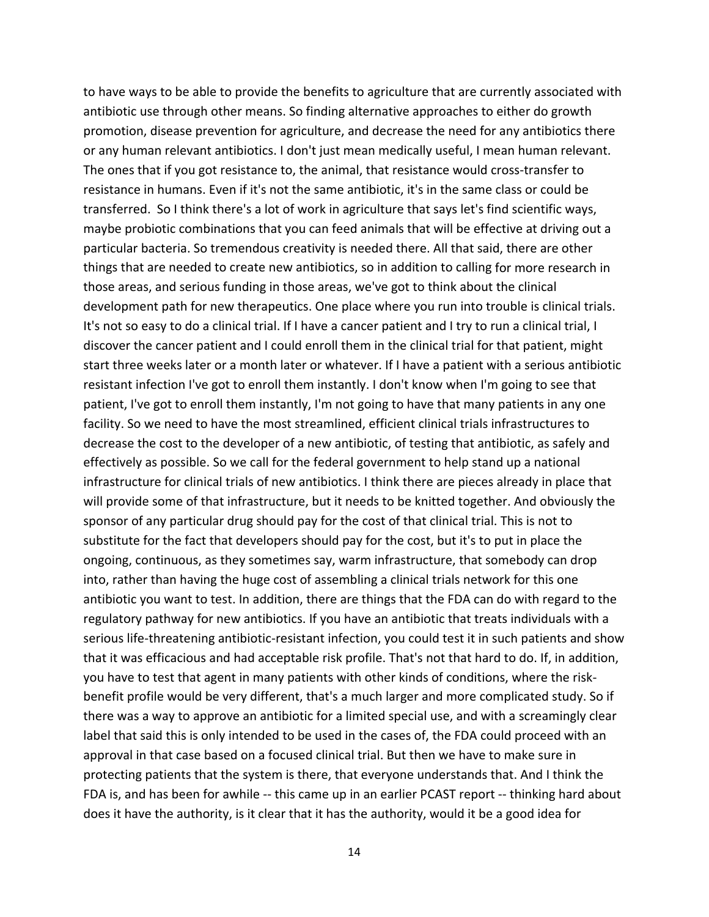to have ways to be able to provide the benefits to agriculture that are currently associated with antibiotic use through other means. So finding alternative approaches to either do growth promotion, disease prevention for agriculture, and decrease the need for any antibiotics there or any human relevant antibiotics. I don't just mean medically useful, I mean human relevant. The ones that if you got resistance to, the animal, that resistance would cross‐transfer to resistance in humans. Even if it's not the same antibiotic, it's in the same class or could be transferred. So I think there's a lot of work in agriculture that says let's find scientific ways, maybe probiotic combinations that you can feed animals that will be effective at driving out a particular bacteria. So tremendous creativity is needed there. All that said, there are other things that are needed to create new antibiotics, so in addition to calling for more research in those areas, and serious funding in those areas, we've got to think about the clinical development path for new therapeutics. One place where you run into trouble is clinical trials. It's not so easy to do a clinical trial. If I have a cancer patient and I try to run a clinical trial, I discover the cancer patient and I could enroll them in the clinical trial for that patient, might start three weeks later or a month later or whatever. If I have a patient with a serious antibiotic resistant infection I've got to enroll them instantly. I don't know when I'm going to see that patient, I've got to enroll them instantly, I'm not going to have that many patients in any one facility. So we need to have the most streamlined, efficient clinical trials infrastructures to decrease the cost to the developer of a new antibiotic, of testing that antibiotic, as safely and effectively as possible. So we call for the federal government to help stand up a national infrastructure for clinical trials of new antibiotics. I think there are pieces already in place that will provide some of that infrastructure, but it needs to be knitted together. And obviously the sponsor of any particular drug should pay for the cost of that clinical trial. This is not to substitute for the fact that developers should pay for the cost, but it's to put in place the ongoing, continuous, as they sometimes say, warm infrastructure, that somebody can drop into, rather than having the huge cost of assembling a clinical trials network for this one antibiotic you want to test. In addition, there are things that the FDA can do with regard to the regulatory pathway for new antibiotics. If you have an antibiotic that treats individuals with a serious life-threatening antibiotic-resistant infection, you could test it in such patients and show that it was efficacious and had acceptable risk profile. That's not that hard to do. If, in addition, you have to test that agent in many patients with other kinds of conditions, where the risk‐ benefit profile would be very different, that's a much larger and more complicated study. So if there was a way to approve an antibiotic for a limited special use, and with a screamingly clear label that said this is only intended to be used in the cases of, the FDA could proceed with an approval in that case based on a focused clinical trial. But then we have to make sure in protecting patients that the system is there, that everyone understands that. And I think the FDA is, and has been for awhile -- this came up in an earlier PCAST report -- thinking hard about does it have the authority, is it clear that it has the authority, would it be a good idea for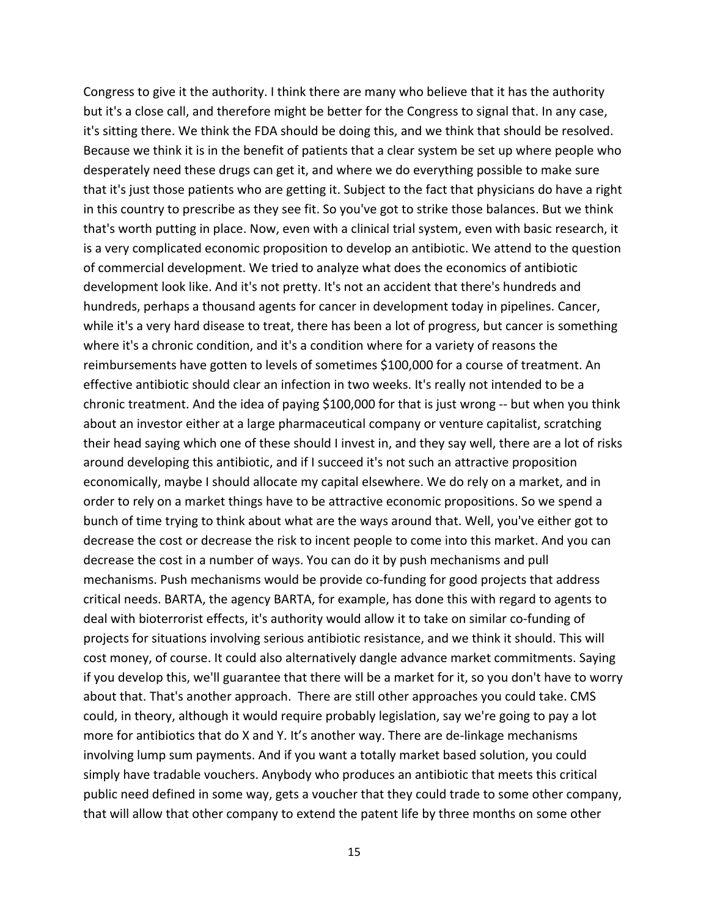Congress to give it the authority. I think there are many who believe that it has the authority but it's a close call, and therefore might be better for the Congress to signal that. In any case, it's sitting there. We think the FDA should be doing this, and we think that should be resolved. Because we think it is in the benefit of patients that a clear system be set up where people who desperately need these drugs can get it, and where we do everything possible to make sure that it's just those patients who are getting it. Subject to the fact that physicians do have a right in this country to prescribe as they see fit. So you've got to strike those balances. But we think that's worth putting in place. Now, even with a clinical trial system, even with basic research, it is a very complicated economic proposition to develop an antibiotic. We attend to the question of commercial development. We tried to analyze what does the economics of antibiotic development look like. And it's not pretty. It's not an accident that there's hundreds and hundreds, perhaps a thousand agents for cancer in development today in pipelines. Cancer, while it's a very hard disease to treat, there has been a lot of progress, but cancer is something where it's a chronic condition, and it's a condition where for a variety of reasons the reimbursements have gotten to levels of sometimes \$100,000 for a course of treatment. An effective antibiotic should clear an infection in two weeks. It's really not intended to be a chronic treatment. And the idea of paying \$100,000 for that is just wrong ‐‐ but when you think about an investor either at a large pharmaceutical company or venture capitalist, scratching their head saying which one of these should I invest in, and they say well, there are a lot of risks around developing this antibiotic, and if I succeed it's not such an attractive proposition economically, maybe I should allocate my capital elsewhere. We do rely on a market, and in order to rely on a market things have to be attractive economic propositions. So we spend a bunch of time trying to think about what are the ways around that. Well, you've either got to decrease the cost or decrease the risk to incent people to come into this market. And you can decrease the cost in a number of ways. You can do it by push mechanisms and pull mechanisms. Push mechanisms would be provide co-funding for good projects that address critical needs. BARTA, the agency BARTA, for example, has done this with regard to agents to deal with bioterrorist effects, it's authority would allow it to take on similar co‐funding of projects for situations involving serious antibiotic resistance, and we think it should. This will cost money, of course. It could also alternatively dangle advance market commitments. Saying if you develop this, we'll guarantee that there will be a market for it, so you don't have to worry about that. That's another approach. There are still other approaches you could take. CMS could, in theory, although it would require probably legislation, say we're going to pay a lot more for antibiotics that do X and Y. It's another way. There are de-linkage mechanisms involving lump sum payments. And if you want a totally market based solution, you could simply have tradable vouchers. Anybody who produces an antibiotic that meets this critical public need defined in some way, gets a voucher that they could trade to some other company, that will allow that other company to extend the patent life by three months on some other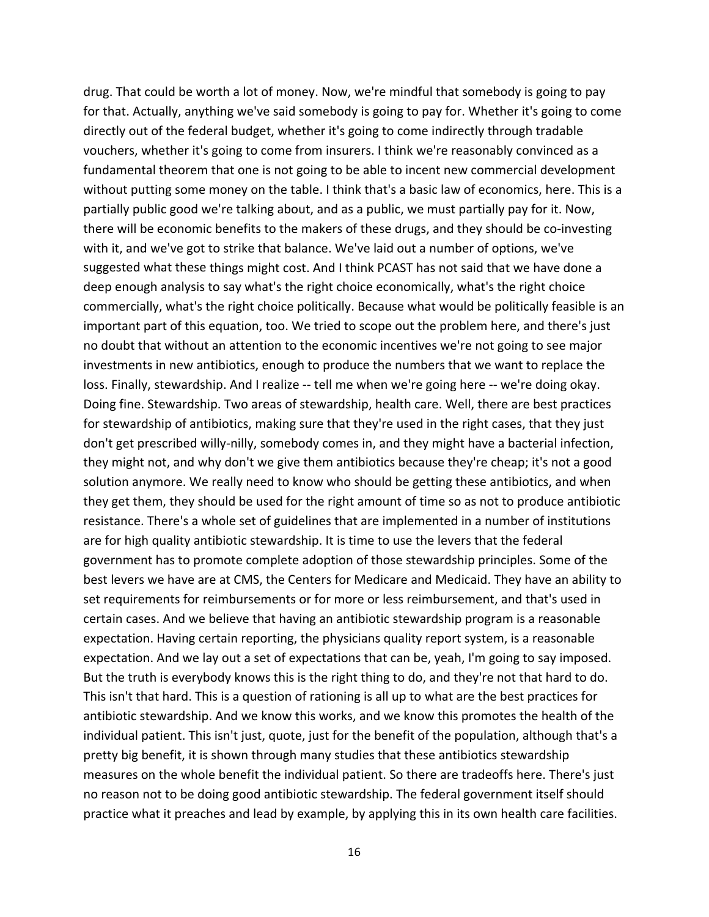drug. That could be worth a lot of money. Now, we're mindful that somebody is going to pay for that. Actually, anything we've said somebody is going to pay for. Whether it's going to come directly out of the federal budget, whether it's going to come indirectly through tradable vouchers, whether it's going to come from insurers. I think we're reasonably convinced as a fundamental theorem that one is not going to be able to incent new commercial development without putting some money on the table. I think that's a basic law of economics, here. This is a partially public good we're talking about, and as a public, we must partially pay for it. Now, there will be economic benefits to the makers of these drugs, and they should be co-investing with it, and we've got to strike that balance. We've laid out a number of options, we've suggested what these things might cost. And I think PCAST has not said that we have done a deep enough analysis to say what's the right choice economically, what's the right choice commercially, what's the right choice politically. Because what would be politically feasible is an important part of this equation, too. We tried to scope out the problem here, and there's just no doubt that without an attention to the economic incentives we're not going to see major investments in new antibiotics, enough to produce the numbers that we want to replace the loss. Finally, stewardship. And I realize ‐‐ tell me when we're going here ‐‐ we're doing okay. Doing fine. Stewardship. Two areas of stewardship, health care. Well, there are best practices for stewardship of antibiotics, making sure that they're used in the right cases, that they just don't get prescribed willy‐nilly, somebody comes in, and they might have a bacterial infection, they might not, and why don't we give them antibiotics because they're cheap; it's not a good solution anymore. We really need to know who should be getting these antibiotics, and when they get them, they should be used for the right amount of time so as not to produce antibiotic resistance. There's a whole set of guidelines that are implemented in a number of institutions are for high quality antibiotic stewardship. It is time to use the levers that the federal government has to promote complete adoption of those stewardship principles. Some of the best levers we have are at CMS, the Centers for Medicare and Medicaid. They have an ability to set requirements for reimbursements or for more or less reimbursement, and that's used in certain cases. And we believe that having an antibiotic stewardship program is a reasonable expectation. Having certain reporting, the physicians quality report system, is a reasonable expectation. And we lay out a set of expectations that can be, yeah, I'm going to say imposed. But the truth is everybody knows this is the right thing to do, and they're not that hard to do. This isn't that hard. This is a question of rationing is all up to what are the best practices for antibiotic stewardship. And we know this works, and we know this promotes the health of the individual patient. This isn't just, quote, just for the benefit of the population, although that's a pretty big benefit, it is shown through many studies that these antibiotics stewardship measures on the whole benefit the individual patient. So there are tradeoffs here. There's just no reason not to be doing good antibiotic stewardship. The federal government itself should practice what it preaches and lead by example, by applying this in its own health care facilities.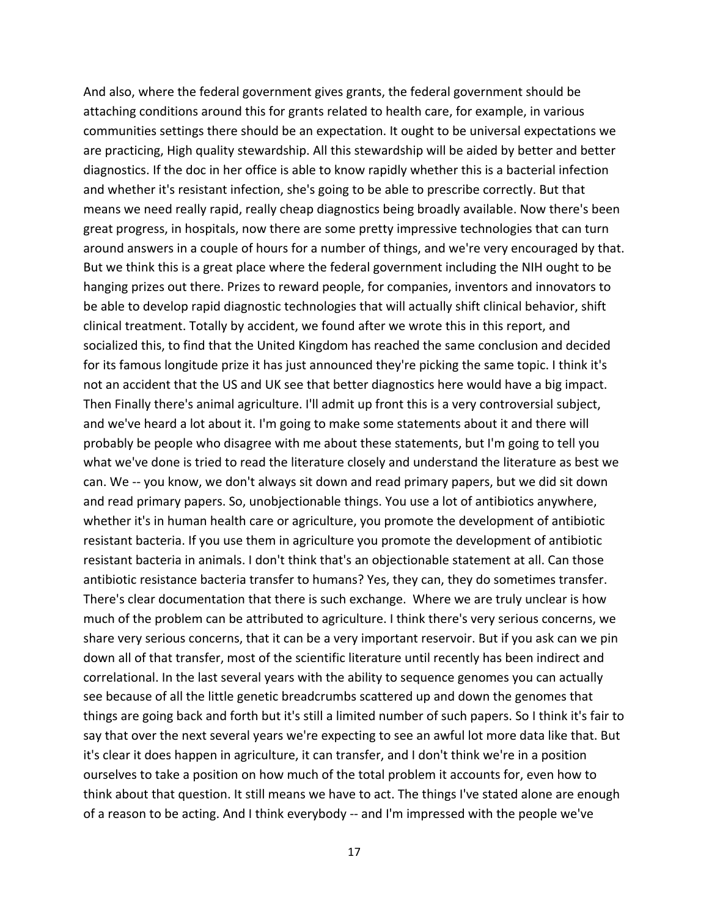And also, where the federal government gives grants, the federal government should be attaching conditions around this for grants related to health care, for example, in various communities settings there should be an expectation. It ought to be universal expectations we are practicing, High quality stewardship. All this stewardship will be aided by better and better diagnostics. If the doc in her office is able to know rapidly whether this is a bacterial infection and whether it's resistant infection, she's going to be able to prescribe correctly. But that means we need really rapid, really cheap diagnostics being broadly available. Now there's been great progress, in hospitals, now there are some pretty impressive technologies that can turn around answers in a couple of hours for a number of things, and we're very encouraged by that. But we think this is a great place where the federal government including the NIH ought to be hanging prizes out there. Prizes to reward people, for companies, inventors and innovators to be able to develop rapid diagnostic technologies that will actually shift clinical behavior, shift clinical treatment. Totally by accident, we found after we wrote this in this report, and socialized this, to find that the United Kingdom has reached the same conclusion and decided for its famous longitude prize it has just announced they're picking the same topic. I think it's not an accident that the US and UK see that better diagnostics here would have a big impact. Then Finally there's animal agriculture. I'll admit up front this is a very controversial subject, and we've heard a lot about it. I'm going to make some statements about it and there will probably be people who disagree with me about these statements, but I'm going to tell you what we've done is tried to read the literature closely and understand the literature as best we can. We ‐‐ you know, we don't always sit down and read primary papers, but we did sit down and read primary papers. So, unobjectionable things. You use a lot of antibiotics anywhere, whether it's in human health care or agriculture, you promote the development of antibiotic resistant bacteria. If you use them in agriculture you promote the development of antibiotic resistant bacteria in animals. I don't think that's an objectionable statement at all. Can those antibiotic resistance bacteria transfer to humans? Yes, they can, they do sometimes transfer. There's clear documentation that there is such exchange. Where we are truly unclear is how much of the problem can be attributed to agriculture. I think there's very serious concerns, we share very serious concerns, that it can be a very important reservoir. But if you ask can we pin down all of that transfer, most of the scientific literature until recently has been indirect and correlational. In the last several years with the ability to sequence genomes you can actually see because of all the little genetic breadcrumbs scattered up and down the genomes that things are going back and forth but it's still a limited number of such papers. So I think it's fair to say that over the next several years we're expecting to see an awful lot more data like that. But it's clear it does happen in agriculture, it can transfer, and I don't think we're in a position ourselves to take a position on how much of the total problem it accounts for, even how to think about that question. It still means we have to act. The things I've stated alone are enough of a reason to be acting. And I think everybody ‐‐ and I'm impressed with the people we've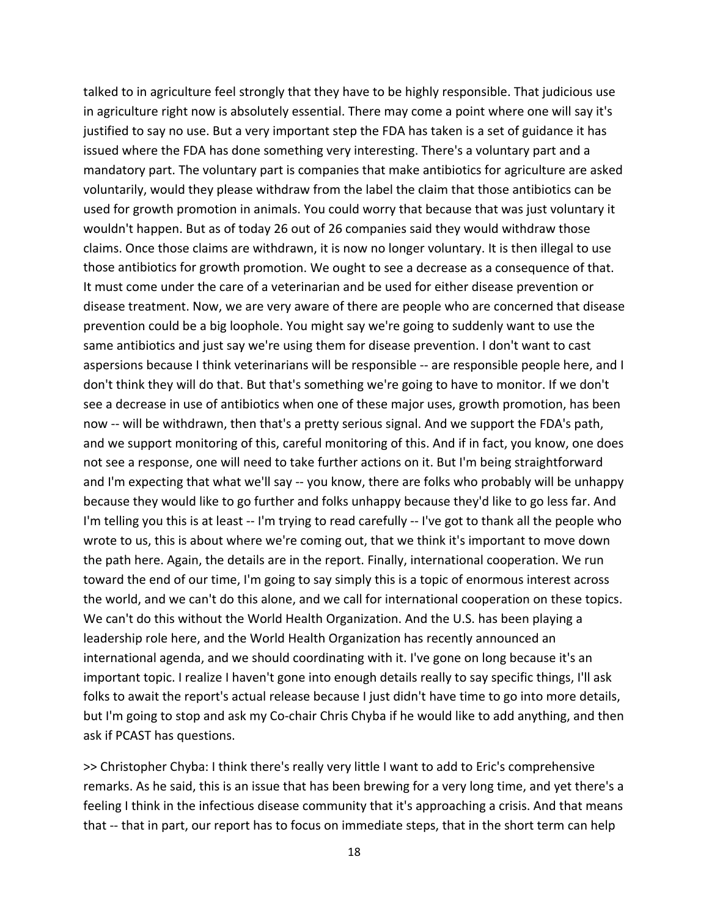talked to in agriculture feel strongly that they have to be highly responsible. That judicious use in agriculture right now is absolutely essential. There may come a point where one will say it's justified to say no use. But a very important step the FDA has taken is a set of guidance it has issued where the FDA has done something very interesting. There's a voluntary part and a mandatory part. The voluntary part is companies that make antibiotics for agriculture are asked voluntarily, would they please withdraw from the label the claim that those antibiotics can be used for growth promotion in animals. You could worry that because that was just voluntary it wouldn't happen. But as of today 26 out of 26 companies said they would withdraw those claims. Once those claims are withdrawn, it is now no longer voluntary. It is then illegal to use those antibiotics for growth promotion. We ought to see a decrease as a consequence of that. It must come under the care of a veterinarian and be used for either disease prevention or disease treatment. Now, we are very aware of there are people who are concerned that disease prevention could be a big loophole. You might say we're going to suddenly want to use the same antibiotics and just say we're using them for disease prevention. I don't want to cast aspersions because I think veterinarians will be responsible ‐‐ are responsible people here, and I don't think they will do that. But that's something we're going to have to monitor. If we don't see a decrease in use of antibiotics when one of these major uses, growth promotion, has been now -- will be withdrawn, then that's a pretty serious signal. And we support the FDA's path, and we support monitoring of this, careful monitoring of this. And if in fact, you know, one does not see a response, one will need to take further actions on it. But I'm being straightforward and I'm expecting that what we'll say -- you know, there are folks who probably will be unhappy because they would like to go further and folks unhappy because they'd like to go less far. And I'm telling you this is at least ‐‐ I'm trying to read carefully ‐‐ I've got to thank all the people who wrote to us, this is about where we're coming out, that we think it's important to move down the path here. Again, the details are in the report. Finally, international cooperation. We run toward the end of our time, I'm going to say simply this is a topic of enormous interest across the world, and we can't do this alone, and we call for international cooperation on these topics. We can't do this without the World Health Organization. And the U.S. has been playing a leadership role here, and the World Health Organization has recently announced an international agenda, and we should coordinating with it. I've gone on long because it's an important topic. I realize I haven't gone into enough details really to say specific things, I'll ask folks to await the report's actual release because I just didn't have time to go into more details, but I'm going to stop and ask my Co‐chair Chris Chyba if he would like to add anything, and then ask if PCAST has questions.

>> Christopher Chyba: I think there's really very little I want to add to Eric's comprehensive remarks. As he said, this is an issue that has been brewing for a very long time, and yet there's a feeling I think in the infectious disease community that it's approaching a crisis. And that means that -- that in part, our report has to focus on immediate steps, that in the short term can help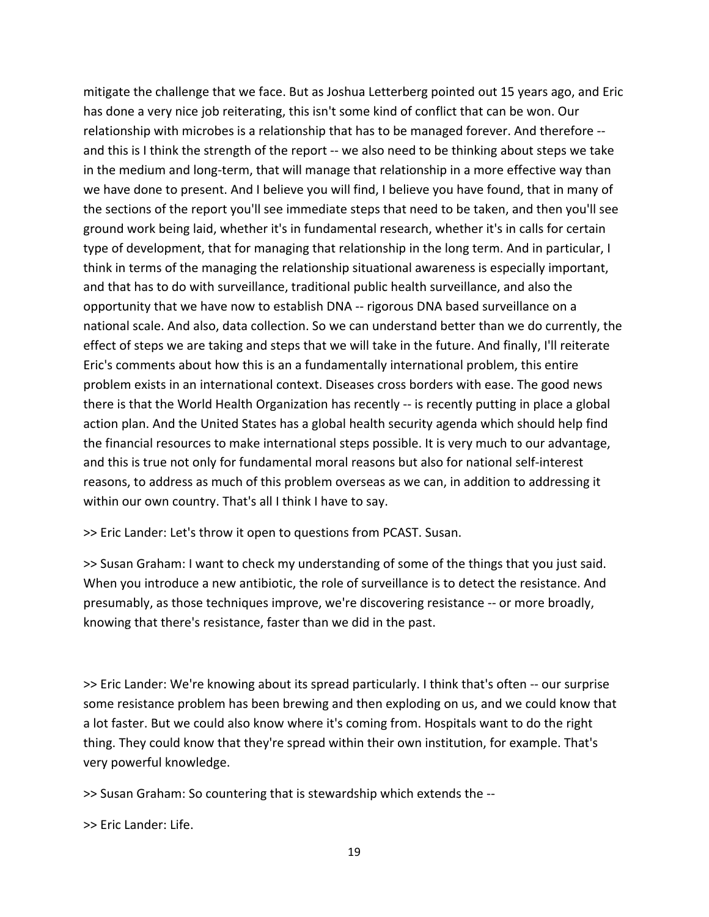mitigate the challenge that we face. But as Joshua Letterberg pointed out 15 years ago, and Eric has done a very nice job reiterating, this isn't some kind of conflict that can be won. Our relationship with microbes is a relationship that has to be managed forever. And therefore ‐‐ and this is I think the strength of the report -- we also need to be thinking about steps we take in the medium and long‐term, that will manage that relationship in a more effective way than we have done to present. And I believe you will find, I believe you have found, that in many of the sections of the report you'll see immediate steps that need to be taken, and then you'll see ground work being laid, whether it's in fundamental research, whether it's in calls for certain type of development, that for managing that relationship in the long term. And in particular, I think in terms of the managing the relationship situational awareness is especially important, and that has to do with surveillance, traditional public health surveillance, and also the opportunity that we have now to establish DNA ‐‐ rigorous DNA based surveillance on a national scale. And also, data collection. So we can understand better than we do currently, the effect of steps we are taking and steps that we will take in the future. And finally, I'll reiterate Eric's comments about how this is an a fundamentally international problem, this entire problem exists in an international context. Diseases cross borders with ease. The good news there is that the World Health Organization has recently -- is recently putting in place a global action plan. And the United States has a global health security agenda which should help find the financial resources to make international steps possible. It is very much to our advantage, and this is true not only for fundamental moral reasons but also for national self-interest reasons, to address as much of this problem overseas as we can, in addition to addressing it within our own country. That's all I think I have to say.

>> Eric Lander: Let's throw it open to questions from PCAST. Susan.

>> Susan Graham: I want to check my understanding of some of the things that you just said. When you introduce a new antibiotic, the role of surveillance is to detect the resistance. And presumably, as those techniques improve, we're discovering resistance ‐‐ or more broadly, knowing that there's resistance, faster than we did in the past.

>> Eric Lander: We're knowing about its spread particularly. I think that's often ‐‐ our surprise some resistance problem has been brewing and then exploding on us, and we could know that a lot faster. But we could also know where it's coming from. Hospitals want to do the right thing. They could know that they're spread within their own institution, for example. That's very powerful knowledge.

>> Susan Graham: So countering that is stewardship which extends the ‐‐

>> Eric Lander: Life.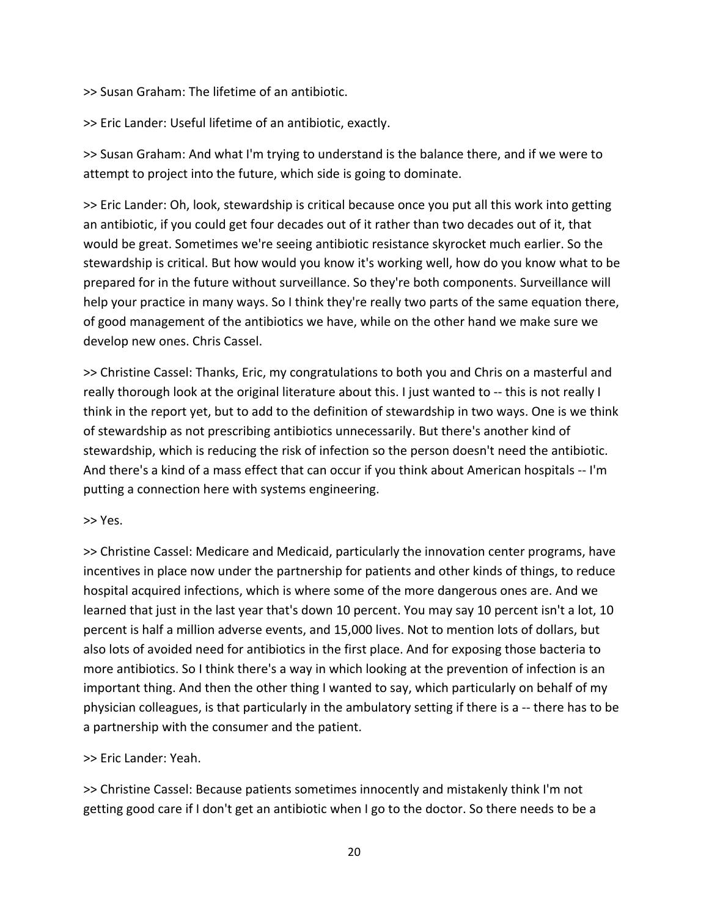>> Susan Graham: The lifetime of an antibiotic.

>> Eric Lander: Useful lifetime of an antibiotic, exactly.

>> Susan Graham: And what I'm trying to understand is the balance there, and if we were to attempt to project into the future, which side is going to dominate.

>> Eric Lander: Oh, look, stewardship is critical because once you put all this work into getting an antibiotic, if you could get four decades out of it rather than two decades out of it, that would be great. Sometimes we're seeing antibiotic resistance skyrocket much earlier. So the stewardship is critical. But how would you know it's working well, how do you know what to be prepared for in the future without surveillance. So they're both components. Surveillance will help your practice in many ways. So I think they're really two parts of the same equation there, of good management of the antibiotics we have, while on the other hand we make sure we develop new ones. Chris Cassel.

>> Christine Cassel: Thanks, Eric, my congratulations to both you and Chris on a masterful and really thorough look at the original literature about this. I just wanted to ‐‐ this is not really I think in the report yet, but to add to the definition of stewardship in two ways. One is we think of stewardship as not prescribing antibiotics unnecessarily. But there's another kind of stewardship, which is reducing the risk of infection so the person doesn't need the antibiotic. And there's a kind of a mass effect that can occur if you think about American hospitals -- I'm putting a connection here with systems engineering.

>> Yes.

>> Christine Cassel: Medicare and Medicaid, particularly the innovation center programs, have incentives in place now under the partnership for patients and other kinds of things, to reduce hospital acquired infections, which is where some of the more dangerous ones are. And we learned that just in the last year that's down 10 percent. You may say 10 percent isn't a lot, 10 percent is half a million adverse events, and 15,000 lives. Not to mention lots of dollars, but also lots of avoided need for antibiotics in the first place. And for exposing those bacteria to more antibiotics. So I think there's a way in which looking at the prevention of infection is an important thing. And then the other thing I wanted to say, which particularly on behalf of my physician colleagues, is that particularly in the ambulatory setting if there is a ‐‐ there has to be a partnership with the consumer and the patient.

>> Eric Lander: Yeah.

>> Christine Cassel: Because patients sometimes innocently and mistakenly think I'm not getting good care if I don't get an antibiotic when I go to the doctor. So there needs to be a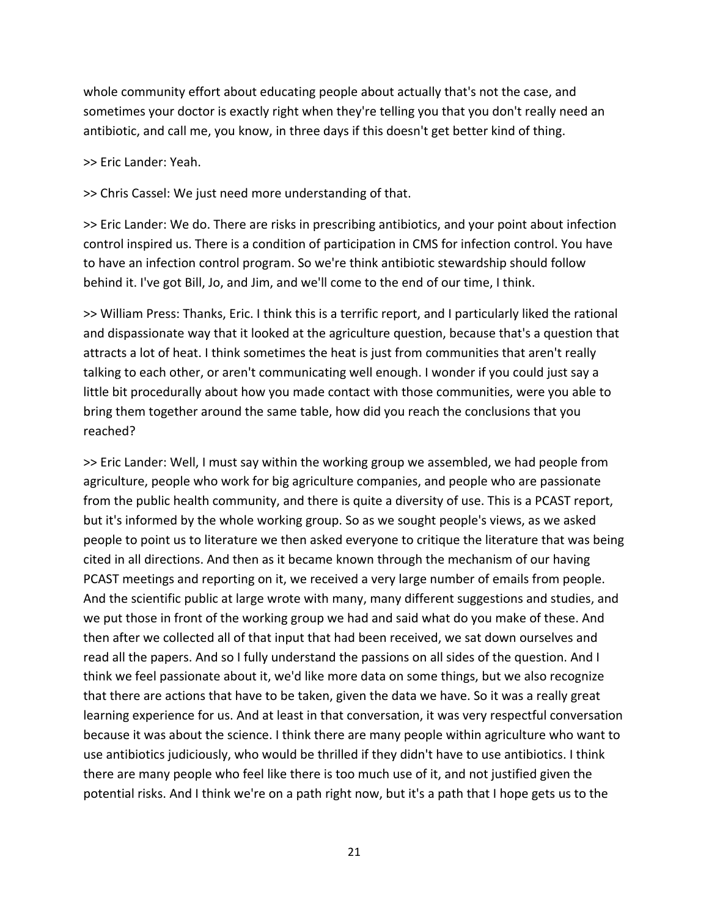whole community effort about educating people about actually that's not the case, and sometimes your doctor is exactly right when they're telling you that you don't really need an antibiotic, and call me, you know, in three days if this doesn't get better kind of thing.

>> Eric Lander: Yeah.

>> Chris Cassel: We just need more understanding of that.

>> Eric Lander: We do. There are risks in prescribing antibiotics, and your point about infection control inspired us. There is a condition of participation in CMS for infection control. You have to have an infection control program. So we're think antibiotic stewardship should follow behind it. I've got Bill, Jo, and Jim, and we'll come to the end of our time, I think.

>> William Press: Thanks, Eric. I think this is a terrific report, and I particularly liked the rational and dispassionate way that it looked at the agriculture question, because that's a question that attracts a lot of heat. I think sometimes the heat is just from communities that aren't really talking to each other, or aren't communicating well enough. I wonder if you could just say a little bit procedurally about how you made contact with those communities, were you able to bring them together around the same table, how did you reach the conclusions that you reached?

>> Eric Lander: Well, I must say within the working group we assembled, we had people from agriculture, people who work for big agriculture companies, and people who are passionate from the public health community, and there is quite a diversity of use. This is a PCAST report, but it's informed by the whole working group. So as we sought people's views, as we asked people to point us to literature we then asked everyone to critique the literature that was being cited in all directions. And then as it became known through the mechanism of our having PCAST meetings and reporting on it, we received a very large number of emails from people. And the scientific public at large wrote with many, many different suggestions and studies, and we put those in front of the working group we had and said what do you make of these. And then after we collected all of that input that had been received, we sat down ourselves and read all the papers. And so I fully understand the passions on all sides of the question. And I think we feel passionate about it, we'd like more data on some things, but we also recognize that there are actions that have to be taken, given the data we have. So it was a really great learning experience for us. And at least in that conversation, it was very respectful conversation because it was about the science. I think there are many people within agriculture who want to use antibiotics judiciously, who would be thrilled if they didn't have to use antibiotics. I think there are many people who feel like there is too much use of it, and not justified given the potential risks. And I think we're on a path right now, but it's a path that I hope gets us to the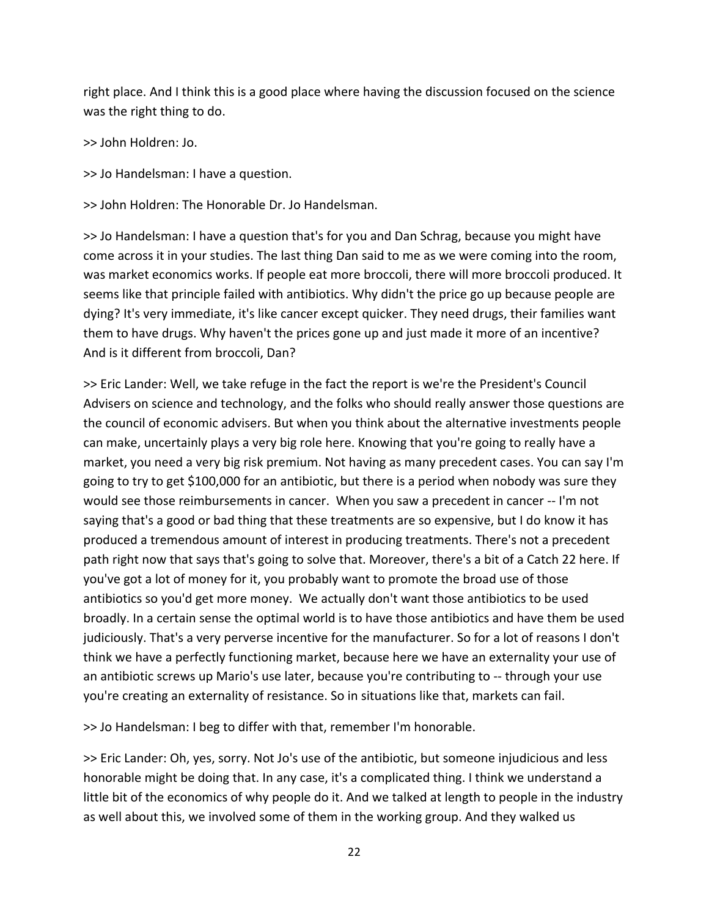right place. And I think this is a good place where having the discussion focused on the science was the right thing to do.

>> John Holdren: Jo.

>> Jo Handelsman: I have a question.

>> John Holdren: The Honorable Dr. Jo Handelsman.

>> Jo Handelsman: I have a question that's for you and Dan Schrag, because you might have come across it in your studies. The last thing Dan said to me as we were coming into the room, was market economics works. If people eat more broccoli, there will more broccoli produced. It seems like that principle failed with antibiotics. Why didn't the price go up because people are dying? It's very immediate, it's like cancer except quicker. They need drugs, their families want them to have drugs. Why haven't the prices gone up and just made it more of an incentive? And is it different from broccoli, Dan?

>> Eric Lander: Well, we take refuge in the fact the report is we're the President's Council Advisers on science and technology, and the folks who should really answer those questions are the council of economic advisers. But when you think about the alternative investments people can make, uncertainly plays a very big role here. Knowing that you're going to really have a market, you need a very big risk premium. Not having as many precedent cases. You can say I'm going to try to get \$100,000 for an antibiotic, but there is a period when nobody was sure they would see those reimbursements in cancer. When you saw a precedent in cancer ‐‐ I'm not saying that's a good or bad thing that these treatments are so expensive, but I do know it has produced a tremendous amount of interest in producing treatments. There's not a precedent path right now that says that's going to solve that. Moreover, there's a bit of a Catch 22 here. If you've got a lot of money for it, you probably want to promote the broad use of those antibiotics so you'd get more money. We actually don't want those antibiotics to be used broadly. In a certain sense the optimal world is to have those antibiotics and have them be used judiciously. That's a very perverse incentive for the manufacturer. So for a lot of reasons I don't think we have a perfectly functioning market, because here we have an externality your use of an antibiotic screws up Mario's use later, because you're contributing to ‐‐ through your use you're creating an externality of resistance. So in situations like that, markets can fail.

>> Jo Handelsman: I beg to differ with that, remember I'm honorable.

>> Eric Lander: Oh, yes, sorry. Not Jo's use of the antibiotic, but someone injudicious and less honorable might be doing that. In any case, it's a complicated thing. I think we understand a little bit of the economics of why people do it. And we talked at length to people in the industry as well about this, we involved some of them in the working group. And they walked us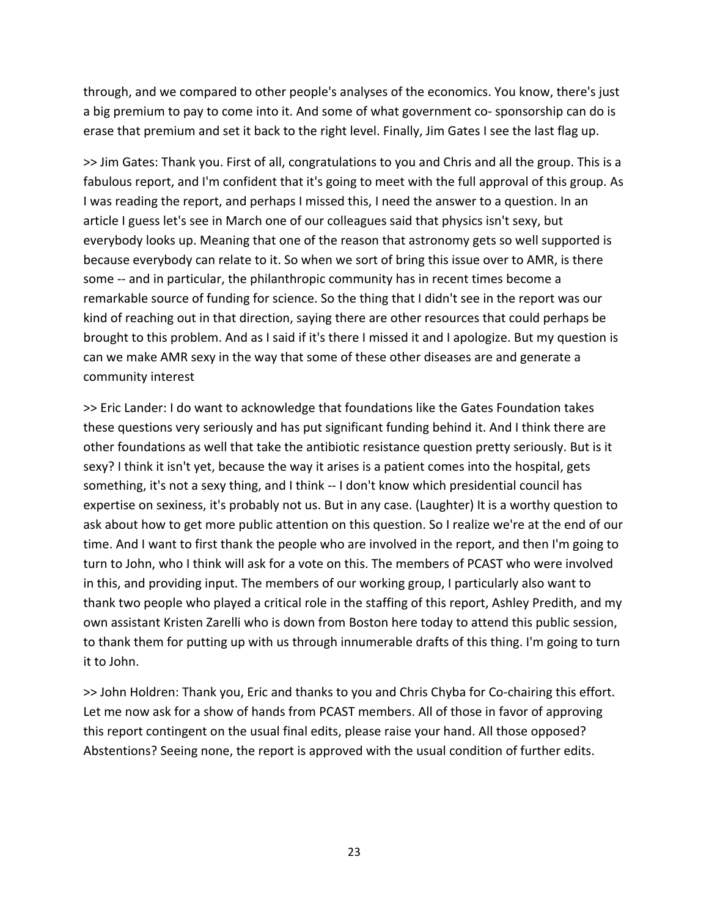through, and we compared to other people's analyses of the economics. You know, there's just a big premium to pay to come into it. And some of what government co-sponsorship can do is erase that premium and set it back to the right level. Finally, Jim Gates I see the last flag up.

>> Jim Gates: Thank you. First of all, congratulations to you and Chris and all the group. This is a fabulous report, and I'm confident that it's going to meet with the full approval of this group. As I was reading the report, and perhaps I missed this, I need the answer to a question. In an article I guess let's see in March one of our colleagues said that physics isn't sexy, but everybody looks up. Meaning that one of the reason that astronomy gets so well supported is because everybody can relate to it. So when we sort of bring this issue over to AMR, is there some -- and in particular, the philanthropic community has in recent times become a remarkable source of funding for science. So the thing that I didn't see in the report was our kind of reaching out in that direction, saying there are other resources that could perhaps be brought to this problem. And as I said if it's there I missed it and I apologize. But my question is can we make AMR sexy in the way that some of these other diseases are and generate a community interest

>> Eric Lander: I do want to acknowledge that foundations like the Gates Foundation takes these questions very seriously and has put significant funding behind it. And I think there are other foundations as well that take the antibiotic resistance question pretty seriously. But is it sexy? I think it isn't yet, because the way it arises is a patient comes into the hospital, gets something, it's not a sexy thing, and I think -- I don't know which presidential council has expertise on sexiness, it's probably not us. But in any case. (Laughter) It is a worthy question to ask about how to get more public attention on this question. So I realize we're at the end of our time. And I want to first thank the people who are involved in the report, and then I'm going to turn to John, who I think will ask for a vote on this. The members of PCAST who were involved in this, and providing input. The members of our working group, I particularly also want to thank two people who played a critical role in the staffing of this report, Ashley Predith, and my own assistant Kristen Zarelli who is down from Boston here today to attend this public session, to thank them for putting up with us through innumerable drafts of this thing. I'm going to turn it to John.

>> John Holdren: Thank you, Eric and thanks to you and Chris Chyba for Co‐chairing this effort. Let me now ask for a show of hands from PCAST members. All of those in favor of approving this report contingent on the usual final edits, please raise your hand. All those opposed? Abstentions? Seeing none, the report is approved with the usual condition of further edits.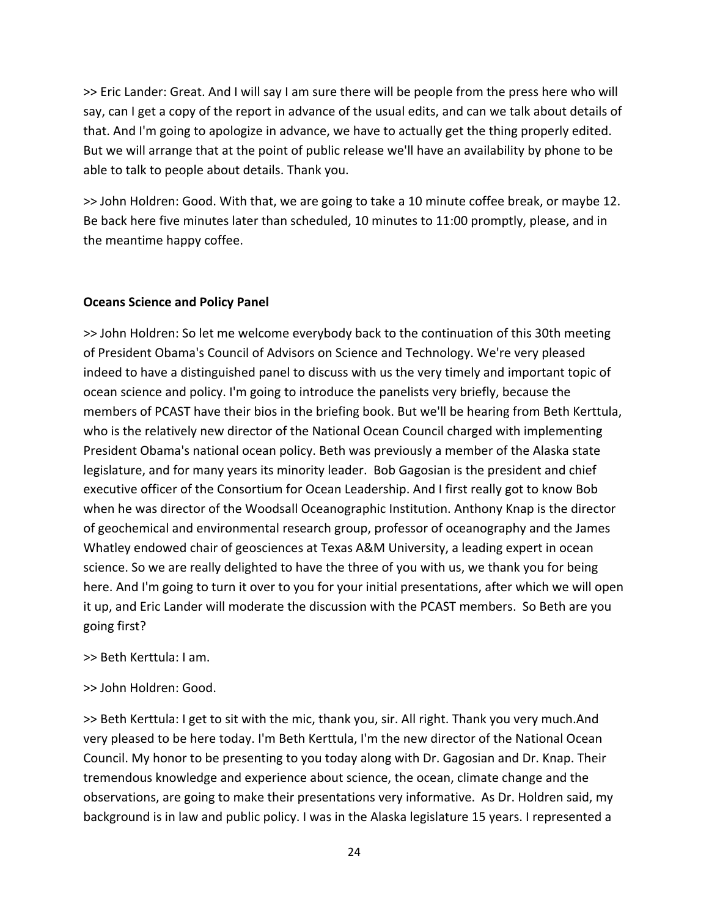>> Eric Lander: Great. And I will say I am sure there will be people from the press here who will say, can I get a copy of the report in advance of the usual edits, and can we talk about details of that. And I'm going to apologize in advance, we have to actually get the thing properly edited. But we will arrange that at the point of public release we'll have an availability by phone to be able to talk to people about details. Thank you.

>> John Holdren: Good. With that, we are going to take a 10 minute coffee break, or maybe 12. Be back here five minutes later than scheduled, 10 minutes to 11:00 promptly, please, and in the meantime happy coffee.

## **Oceans Science and Policy Panel**

>> John Holdren: So let me welcome everybody back to the continuation of this 30th meeting of President Obama's Council of Advisors on Science and Technology. We're very pleased indeed to have a distinguished panel to discuss with us the very timely and important topic of ocean science and policy. I'm going to introduce the panelists very briefly, because the members of PCAST have their bios in the briefing book. But we'll be hearing from Beth Kerttula, who is the relatively new director of the National Ocean Council charged with implementing President Obama's national ocean policy. Beth was previously a member of the Alaska state legislature, and for many years its minority leader. Bob Gagosian is the president and chief executive officer of the Consortium for Ocean Leadership. And I first really got to know Bob when he was director of the Woodsall Oceanographic Institution. Anthony Knap is the director of geochemical and environmental research group, professor of oceanography and the James Whatley endowed chair of geosciences at Texas A&M University, a leading expert in ocean science. So we are really delighted to have the three of you with us, we thank you for being here. And I'm going to turn it over to you for your initial presentations, after which we will open it up, and Eric Lander will moderate the discussion with the PCAST members. So Beth are you going first?

>> Beth Kerttula: I am.

# >> John Holdren: Good.

>> Beth Kerttula: I get to sit with the mic, thank you, sir. All right. Thank you very much.And very pleased to be here today. I'm Beth Kerttula, I'm the new director of the National Ocean Council. My honor to be presenting to you today along with Dr. Gagosian and Dr. Knap. Their tremendous knowledge and experience about science, the ocean, climate change and the observations, are going to make their presentations very informative. As Dr. Holdren said, my background is in law and public policy. I was in the Alaska legislature 15 years. I represented a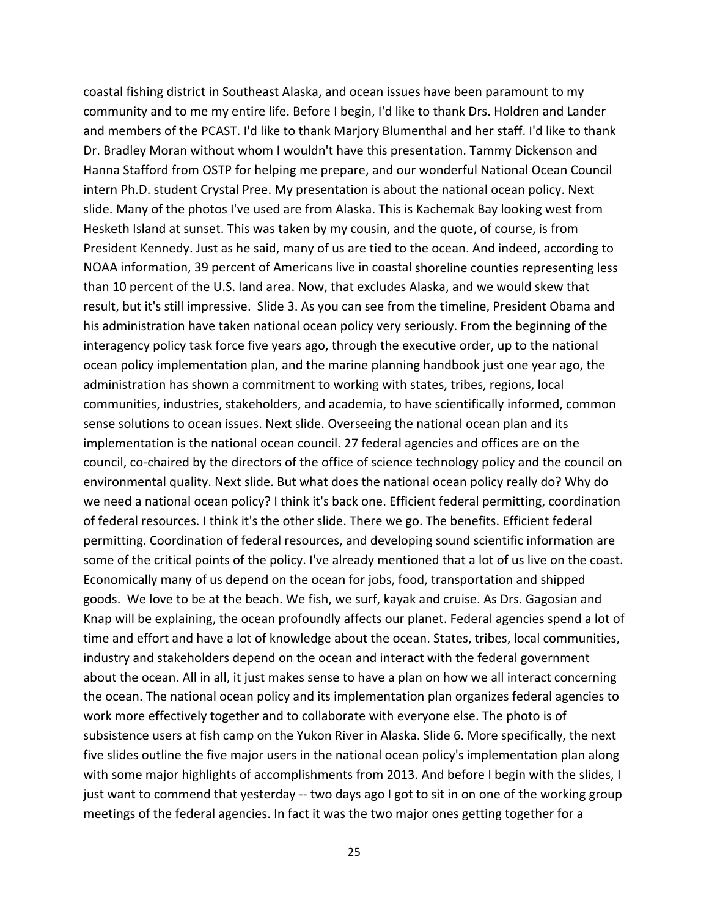coastal fishing district in Southeast Alaska, and ocean issues have been paramount to my community and to me my entire life. Before I begin, I'd like to thank Drs. Holdren and Lander and members of the PCAST. I'd like to thank Marjory Blumenthal and her staff. I'd like to thank Dr. Bradley Moran without whom I wouldn't have this presentation. Tammy Dickenson and Hanna Stafford from OSTP for helping me prepare, and our wonderful National Ocean Council intern Ph.D. student Crystal Pree. My presentation is about the national ocean policy. Next slide. Many of the photos I've used are from Alaska. This is Kachemak Bay looking west from Hesketh Island at sunset. This was taken by my cousin, and the quote, of course, is from President Kennedy. Just as he said, many of us are tied to the ocean. And indeed, according to NOAA information, 39 percent of Americans live in coastal shoreline counties representing less than 10 percent of the U.S. land area. Now, that excludes Alaska, and we would skew that result, but it's still impressive. Slide 3. As you can see from the timeline, President Obama and his administration have taken national ocean policy very seriously. From the beginning of the interagency policy task force five years ago, through the executive order, up to the national ocean policy implementation plan, and the marine planning handbook just one year ago, the administration has shown a commitment to working with states, tribes, regions, local communities, industries, stakeholders, and academia, to have scientifically informed, common sense solutions to ocean issues. Next slide. Overseeing the national ocean plan and its implementation is the national ocean council. 27 federal agencies and offices are on the council, co-chaired by the directors of the office of science technology policy and the council on environmental quality. Next slide. But what does the national ocean policy really do? Why do we need a national ocean policy? I think it's back one. Efficient federal permitting, coordination of federal resources. I think it's the other slide. There we go. The benefits. Efficient federal permitting. Coordination of federal resources, and developing sound scientific information are some of the critical points of the policy. I've already mentioned that a lot of us live on the coast. Economically many of us depend on the ocean for jobs, food, transportation and shipped goods. We love to be at the beach. We fish, we surf, kayak and cruise. As Drs. Gagosian and Knap will be explaining, the ocean profoundly affects our planet. Federal agencies spend a lot of time and effort and have a lot of knowledge about the ocean. States, tribes, local communities, industry and stakeholders depend on the ocean and interact with the federal government about the ocean. All in all, it just makes sense to have a plan on how we all interact concerning the ocean. The national ocean policy and its implementation plan organizes federal agencies to work more effectively together and to collaborate with everyone else. The photo is of subsistence users at fish camp on the Yukon River in Alaska. Slide 6. More specifically, the next five slides outline the five major users in the national ocean policy's implementation plan along with some major highlights of accomplishments from 2013. And before I begin with the slides, I just want to commend that yesterday -- two days ago I got to sit in on one of the working group meetings of the federal agencies. In fact it was the two major ones getting together for a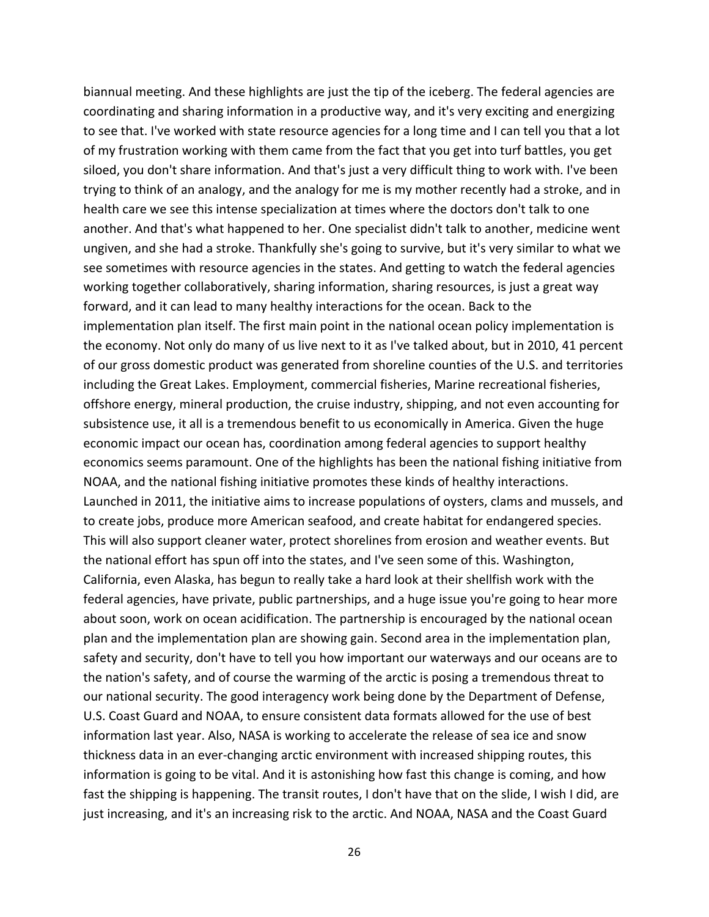biannual meeting. And these highlights are just the tip of the iceberg. The federal agencies are coordinating and sharing information in a productive way, and it's very exciting and energizing to see that. I've worked with state resource agencies for a long time and I can tell you that a lot of my frustration working with them came from the fact that you get into turf battles, you get siloed, you don't share information. And that's just a very difficult thing to work with. I've been trying to think of an analogy, and the analogy for me is my mother recently had a stroke, and in health care we see this intense specialization at times where the doctors don't talk to one another. And that's what happened to her. One specialist didn't talk to another, medicine went ungiven, and she had a stroke. Thankfully she's going to survive, but it's very similar to what we see sometimes with resource agencies in the states. And getting to watch the federal agencies working together collaboratively, sharing information, sharing resources, is just a great way forward, and it can lead to many healthy interactions for the ocean. Back to the implementation plan itself. The first main point in the national ocean policy implementation is the economy. Not only do many of us live next to it as I've talked about, but in 2010, 41 percent of our gross domestic product was generated from shoreline counties of the U.S. and territories including the Great Lakes. Employment, commercial fisheries, Marine recreational fisheries, offshore energy, mineral production, the cruise industry, shipping, and not even accounting for subsistence use, it all is a tremendous benefit to us economically in America. Given the huge economic impact our ocean has, coordination among federal agencies to support healthy economics seems paramount. One of the highlights has been the national fishing initiative from NOAA, and the national fishing initiative promotes these kinds of healthy interactions. Launched in 2011, the initiative aims to increase populations of oysters, clams and mussels, and to create jobs, produce more American seafood, and create habitat for endangered species. This will also support cleaner water, protect shorelines from erosion and weather events. But the national effort has spun off into the states, and I've seen some of this. Washington, California, even Alaska, has begun to really take a hard look at their shellfish work with the federal agencies, have private, public partnerships, and a huge issue you're going to hear more about soon, work on ocean acidification. The partnership is encouraged by the national ocean plan and the implementation plan are showing gain. Second area in the implementation plan, safety and security, don't have to tell you how important our waterways and our oceans are to the nation's safety, and of course the warming of the arctic is posing a tremendous threat to our national security. The good interagency work being done by the Department of Defense, U.S. Coast Guard and NOAA, to ensure consistent data formats allowed for the use of best information last year. Also, NASA is working to accelerate the release of sea ice and snow thickness data in an ever‐changing arctic environment with increased shipping routes, this information is going to be vital. And it is astonishing how fast this change is coming, and how fast the shipping is happening. The transit routes, I don't have that on the slide, I wish I did, are just increasing, and it's an increasing risk to the arctic. And NOAA, NASA and the Coast Guard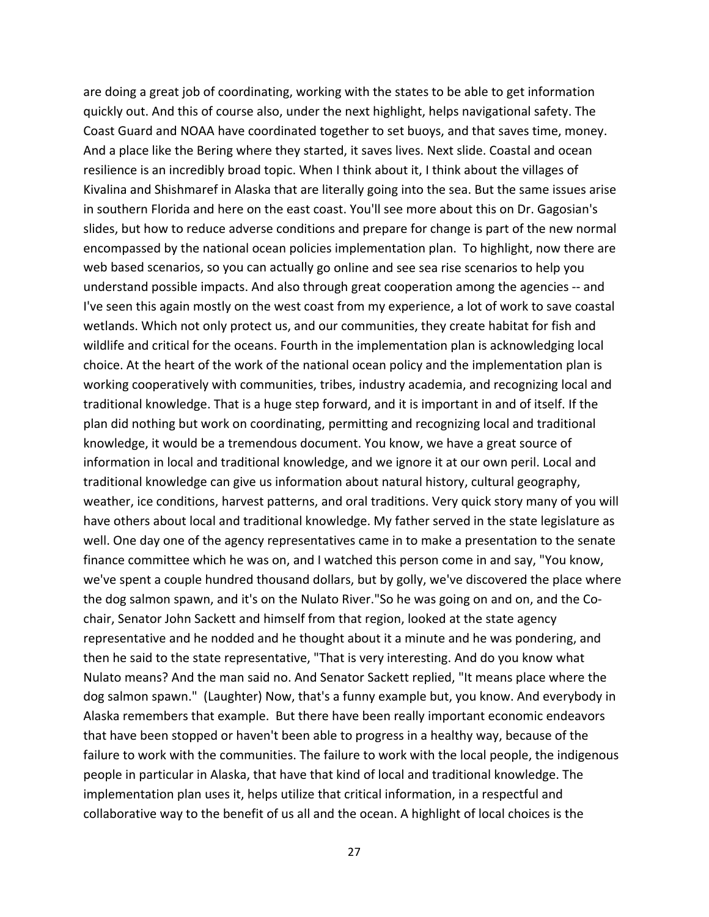are doing a great job of coordinating, working with the states to be able to get information quickly out. And this of course also, under the next highlight, helps navigational safety. The Coast Guard and NOAA have coordinated together to set buoys, and that saves time, money. And a place like the Bering where they started, it saves lives. Next slide. Coastal and ocean resilience is an incredibly broad topic. When I think about it, I think about the villages of Kivalina and Shishmaref in Alaska that are literally going into the sea. But the same issues arise in southern Florida and here on the east coast. You'll see more about this on Dr. Gagosian's slides, but how to reduce adverse conditions and prepare for change is part of the new normal encompassed by the national ocean policies implementation plan. To highlight, now there are web based scenarios, so you can actually go online and see sea rise scenarios to help you understand possible impacts. And also through great cooperation among the agencies ‐‐ and I've seen this again mostly on the west coast from my experience, a lot of work to save coastal wetlands. Which not only protect us, and our communities, they create habitat for fish and wildlife and critical for the oceans. Fourth in the implementation plan is acknowledging local choice. At the heart of the work of the national ocean policy and the implementation plan is working cooperatively with communities, tribes, industry academia, and recognizing local and traditional knowledge. That is a huge step forward, and it is important in and of itself. If the plan did nothing but work on coordinating, permitting and recognizing local and traditional knowledge, it would be a tremendous document. You know, we have a great source of information in local and traditional knowledge, and we ignore it at our own peril. Local and traditional knowledge can give us information about natural history, cultural geography, weather, ice conditions, harvest patterns, and oral traditions. Very quick story many of you will have others about local and traditional knowledge. My father served in the state legislature as well. One day one of the agency representatives came in to make a presentation to the senate finance committee which he was on, and I watched this person come in and say, "You know, we've spent a couple hundred thousand dollars, but by golly, we've discovered the place where the dog salmon spawn, and it's on the Nulato River."So he was going on and on, and the Co‐ chair, Senator John Sackett and himself from that region, looked at the state agency representative and he nodded and he thought about it a minute and he was pondering, and then he said to the state representative, "That is very interesting. And do you know what Nulato means? And the man said no. And Senator Sackett replied, "It means place where the dog salmon spawn." (Laughter) Now, that's a funny example but, you know. And everybody in Alaska remembers that example. But there have been really important economic endeavors that have been stopped or haven't been able to progress in a healthy way, because of the failure to work with the communities. The failure to work with the local people, the indigenous people in particular in Alaska, that have that kind of local and traditional knowledge. The implementation plan uses it, helps utilize that critical information, in a respectful and collaborative way to the benefit of us all and the ocean. A highlight of local choices is the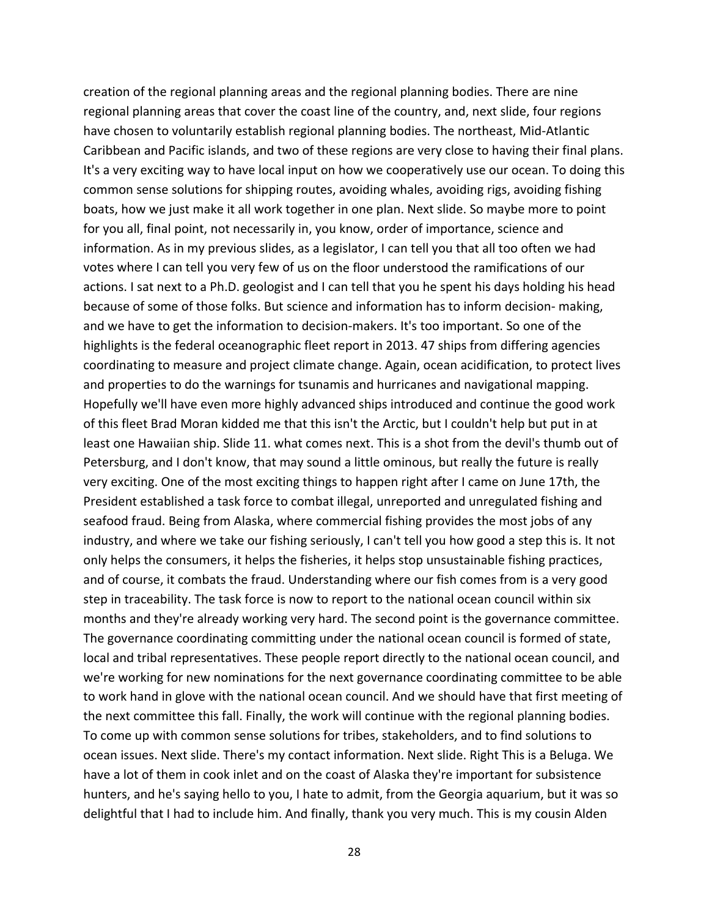creation of the regional planning areas and the regional planning bodies. There are nine regional planning areas that cover the coast line of the country, and, next slide, four regions have chosen to voluntarily establish regional planning bodies. The northeast, Mid‐Atlantic Caribbean and Pacific islands, and two of these regions are very close to having their final plans. It's a very exciting way to have local input on how we cooperatively use our ocean. To doing this common sense solutions for shipping routes, avoiding whales, avoiding rigs, avoiding fishing boats, how we just make it all work together in one plan. Next slide. So maybe more to point for you all, final point, not necessarily in, you know, order of importance, science and information. As in my previous slides, as a legislator, I can tell you that all too often we had votes where I can tell you very few of us on the floor understood the ramifications of our actions. I sat next to a Ph.D. geologist and I can tell that you he spent his days holding his head because of some of those folks. But science and information has to inform decision‐ making, and we have to get the information to decision‐makers. It's too important. So one of the highlights is the federal oceanographic fleet report in 2013. 47 ships from differing agencies coordinating to measure and project climate change. Again, ocean acidification, to protect lives and properties to do the warnings for tsunamis and hurricanes and navigational mapping. Hopefully we'll have even more highly advanced ships introduced and continue the good work of this fleet Brad Moran kidded me that this isn't the Arctic, but I couldn't help but put in at least one Hawaiian ship. Slide 11. what comes next. This is a shot from the devil's thumb out of Petersburg, and I don't know, that may sound a little ominous, but really the future is really very exciting. One of the most exciting things to happen right after I came on June 17th, the President established a task force to combat illegal, unreported and unregulated fishing and seafood fraud. Being from Alaska, where commercial fishing provides the most jobs of any industry, and where we take our fishing seriously, I can't tell you how good a step this is. It not only helps the consumers, it helps the fisheries, it helps stop unsustainable fishing practices, and of course, it combats the fraud. Understanding where our fish comes from is a very good step in traceability. The task force is now to report to the national ocean council within six months and they're already working very hard. The second point is the governance committee. The governance coordinating committing under the national ocean council is formed of state, local and tribal representatives. These people report directly to the national ocean council, and we're working for new nominations for the next governance coordinating committee to be able to work hand in glove with the national ocean council. And we should have that first meeting of the next committee this fall. Finally, the work will continue with the regional planning bodies. To come up with common sense solutions for tribes, stakeholders, and to find solutions to ocean issues. Next slide. There's my contact information. Next slide. Right This is a Beluga. We have a lot of them in cook inlet and on the coast of Alaska they're important for subsistence hunters, and he's saying hello to you, I hate to admit, from the Georgia aquarium, but it was so delightful that I had to include him. And finally, thank you very much. This is my cousin Alden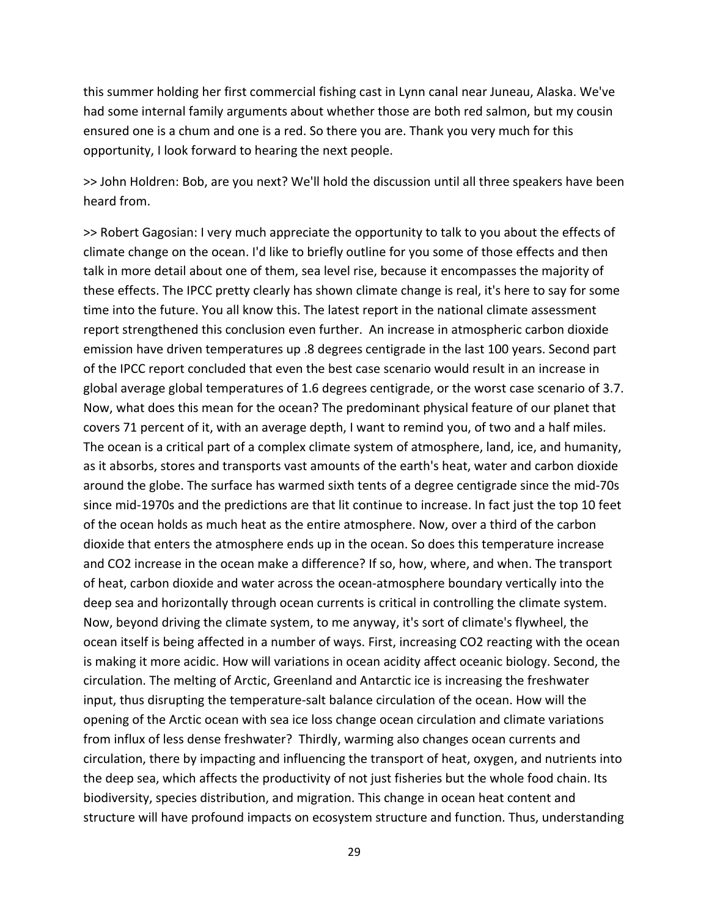this summer holding her first commercial fishing cast in Lynn canal near Juneau, Alaska. We've had some internal family arguments about whether those are both red salmon, but my cousin ensured one is a chum and one is a red. So there you are. Thank you very much for this opportunity, I look forward to hearing the next people.

>> John Holdren: Bob, are you next? We'll hold the discussion until all three speakers have been heard from.

>> Robert Gagosian: I very much appreciate the opportunity to talk to you about the effects of climate change on the ocean. I'd like to briefly outline for you some of those effects and then talk in more detail about one of them, sea level rise, because it encompasses the majority of these effects. The IPCC pretty clearly has shown climate change is real, it's here to say for some time into the future. You all know this. The latest report in the national climate assessment report strengthened this conclusion even further. An increase in atmospheric carbon dioxide emission have driven temperatures up .8 degrees centigrade in the last 100 years. Second part of the IPCC report concluded that even the best case scenario would result in an increase in global average global temperatures of 1.6 degrees centigrade, or the worst case scenario of 3.7. Now, what does this mean for the ocean? The predominant physical feature of our planet that covers 71 percent of it, with an average depth, I want to remind you, of two and a half miles. The ocean is a critical part of a complex climate system of atmosphere, land, ice, and humanity, as it absorbs, stores and transports vast amounts of the earth's heat, water and carbon dioxide around the globe. The surface has warmed sixth tents of a degree centigrade since the mid‐70s since mid‐1970s and the predictions are that lit continue to increase. In fact just the top 10 feet of the ocean holds as much heat as the entire atmosphere. Now, over a third of the carbon dioxide that enters the atmosphere ends up in the ocean. So does this temperature increase and CO2 increase in the ocean make a difference? If so, how, where, and when. The transport of heat, carbon dioxide and water across the ocean‐atmosphere boundary vertically into the deep sea and horizontally through ocean currents is critical in controlling the climate system. Now, beyond driving the climate system, to me anyway, it's sort of climate's flywheel, the ocean itself is being affected in a number of ways. First, increasing CO2 reacting with the ocean is making it more acidic. How will variations in ocean acidity affect oceanic biology. Second, the circulation. The melting of Arctic, Greenland and Antarctic ice is increasing the freshwater input, thus disrupting the temperature‐salt balance circulation of the ocean. How will the opening of the Arctic ocean with sea ice loss change ocean circulation and climate variations from influx of less dense freshwater? Thirdly, warming also changes ocean currents and circulation, there by impacting and influencing the transport of heat, oxygen, and nutrients into the deep sea, which affects the productivity of not just fisheries but the whole food chain. Its biodiversity, species distribution, and migration. This change in ocean heat content and structure will have profound impacts on ecosystem structure and function. Thus, understanding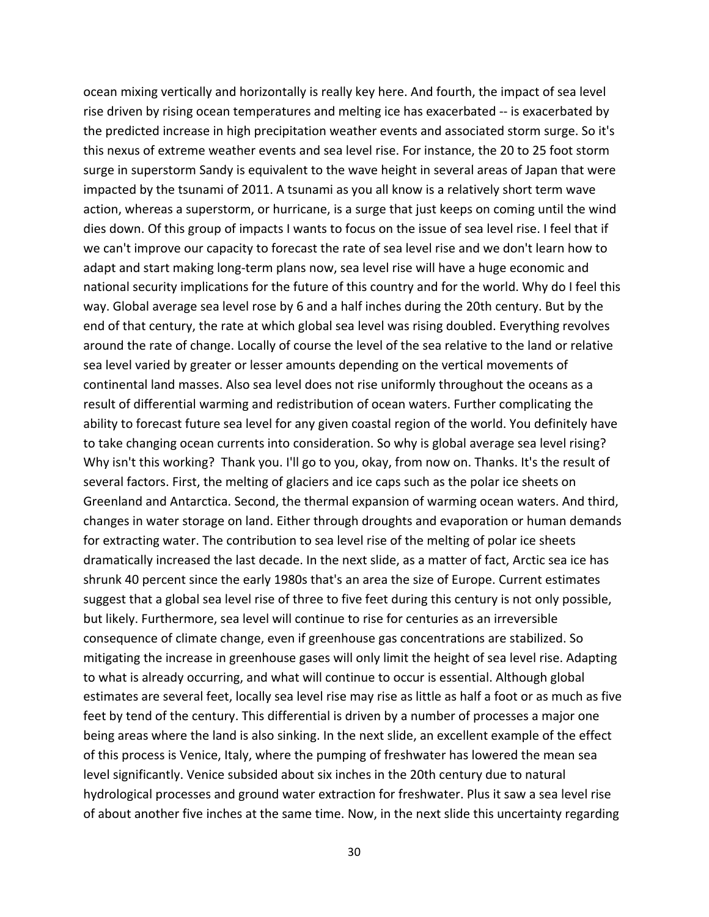ocean mixing vertically and horizontally is really key here. And fourth, the impact of sea level rise driven by rising ocean temperatures and melting ice has exacerbated ‐‐ is exacerbated by the predicted increase in high precipitation weather events and associated storm surge. So it's this nexus of extreme weather events and sea level rise. For instance, the 20 to 25 foot storm surge in superstorm Sandy is equivalent to the wave height in several areas of Japan that were impacted by the tsunami of 2011. A tsunami as you all know is a relatively short term wave action, whereas a superstorm, or hurricane, is a surge that just keeps on coming until the wind dies down. Of this group of impacts I wants to focus on the issue of sea level rise. I feel that if we can't improve our capacity to forecast the rate of sea level rise and we don't learn how to adapt and start making long-term plans now, sea level rise will have a huge economic and national security implications for the future of this country and for the world. Why do I feel this way. Global average sea level rose by 6 and a half inches during the 20th century. But by the end of that century, the rate at which global sea level was rising doubled. Everything revolves around the rate of change. Locally of course the level of the sea relative to the land or relative sea level varied by greater or lesser amounts depending on the vertical movements of continental land masses. Also sea level does not rise uniformly throughout the oceans as a result of differential warming and redistribution of ocean waters. Further complicating the ability to forecast future sea level for any given coastal region of the world. You definitely have to take changing ocean currents into consideration. So why is global average sea level rising? Why isn't this working? Thank you. I'll go to you, okay, from now on. Thanks. It's the result of several factors. First, the melting of glaciers and ice caps such as the polar ice sheets on Greenland and Antarctica. Second, the thermal expansion of warming ocean waters. And third, changes in water storage on land. Either through droughts and evaporation or human demands for extracting water. The contribution to sea level rise of the melting of polar ice sheets dramatically increased the last decade. In the next slide, as a matter of fact, Arctic sea ice has shrunk 40 percent since the early 1980s that's an area the size of Europe. Current estimates suggest that a global sea level rise of three to five feet during this century is not only possible, but likely. Furthermore, sea level will continue to rise for centuries as an irreversible consequence of climate change, even if greenhouse gas concentrations are stabilized. So mitigating the increase in greenhouse gases will only limit the height of sea level rise. Adapting to what is already occurring, and what will continue to occur is essential. Although global estimates are several feet, locally sea level rise may rise as little as half a foot or as much as five feet by tend of the century. This differential is driven by a number of processes a major one being areas where the land is also sinking. In the next slide, an excellent example of the effect of this process is Venice, Italy, where the pumping of freshwater has lowered the mean sea level significantly. Venice subsided about six inches in the 20th century due to natural hydrological processes and ground water extraction for freshwater. Plus it saw a sea level rise of about another five inches at the same time. Now, in the next slide this uncertainty regarding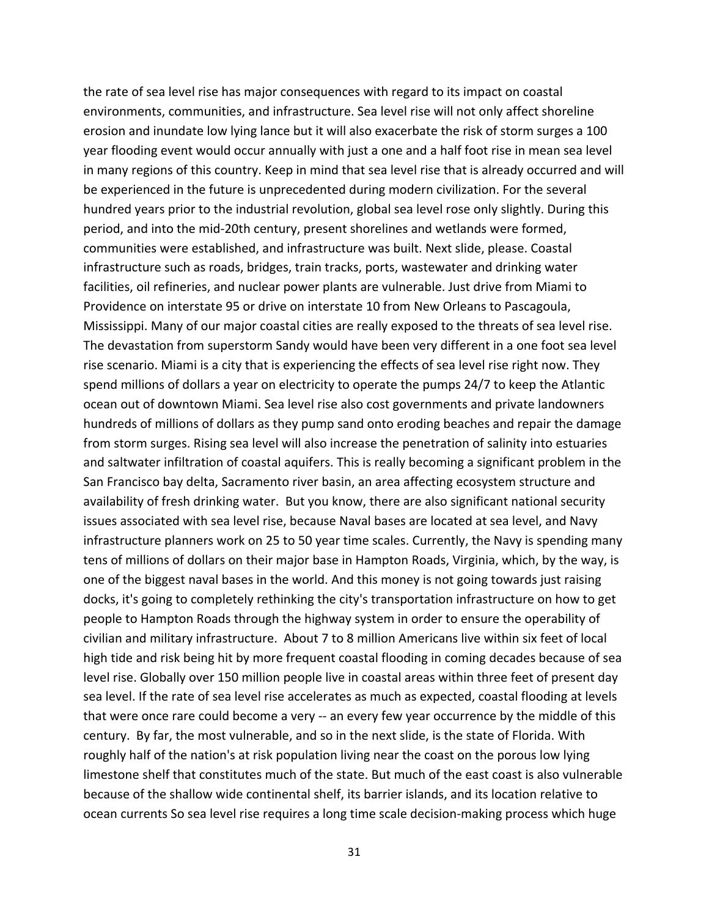the rate of sea level rise has major consequences with regard to its impact on coastal environments, communities, and infrastructure. Sea level rise will not only affect shoreline erosion and inundate low lying lance but it will also exacerbate the risk of storm surges a 100 year flooding event would occur annually with just a one and a half foot rise in mean sea level in many regions of this country. Keep in mind that sea level rise that is already occurred and will be experienced in the future is unprecedented during modern civilization. For the several hundred years prior to the industrial revolution, global sea level rose only slightly. During this period, and into the mid‐20th century, present shorelines and wetlands were formed, communities were established, and infrastructure was built. Next slide, please. Coastal infrastructure such as roads, bridges, train tracks, ports, wastewater and drinking water facilities, oil refineries, and nuclear power plants are vulnerable. Just drive from Miami to Providence on interstate 95 or drive on interstate 10 from New Orleans to Pascagoula, Mississippi. Many of our major coastal cities are really exposed to the threats of sea level rise. The devastation from superstorm Sandy would have been very different in a one foot sea level rise scenario. Miami is a city that is experiencing the effects of sea level rise right now. They spend millions of dollars a year on electricity to operate the pumps 24/7 to keep the Atlantic ocean out of downtown Miami. Sea level rise also cost governments and private landowners hundreds of millions of dollars as they pump sand onto eroding beaches and repair the damage from storm surges. Rising sea level will also increase the penetration of salinity into estuaries and saltwater infiltration of coastal aquifers. This is really becoming a significant problem in the San Francisco bay delta, Sacramento river basin, an area affecting ecosystem structure and availability of fresh drinking water. But you know, there are also significant national security issues associated with sea level rise, because Naval bases are located at sea level, and Navy infrastructure planners work on 25 to 50 year time scales. Currently, the Navy is spending many tens of millions of dollars on their major base in Hampton Roads, Virginia, which, by the way, is one of the biggest naval bases in the world. And this money is not going towards just raising docks, it's going to completely rethinking the city's transportation infrastructure on how to get people to Hampton Roads through the highway system in order to ensure the operability of civilian and military infrastructure. About 7 to 8 million Americans live within six feet of local high tide and risk being hit by more frequent coastal flooding in coming decades because of sea level rise. Globally over 150 million people live in coastal areas within three feet of present day sea level. If the rate of sea level rise accelerates as much as expected, coastal flooding at levels that were once rare could become a very ‐‐ an every few year occurrence by the middle of this century. By far, the most vulnerable, and so in the next slide, is the state of Florida. With roughly half of the nation's at risk population living near the coast on the porous low lying limestone shelf that constitutes much of the state. But much of the east coast is also vulnerable because of the shallow wide continental shelf, its barrier islands, and its location relative to ocean currents So sea level rise requires a long time scale decision‐making process which huge

31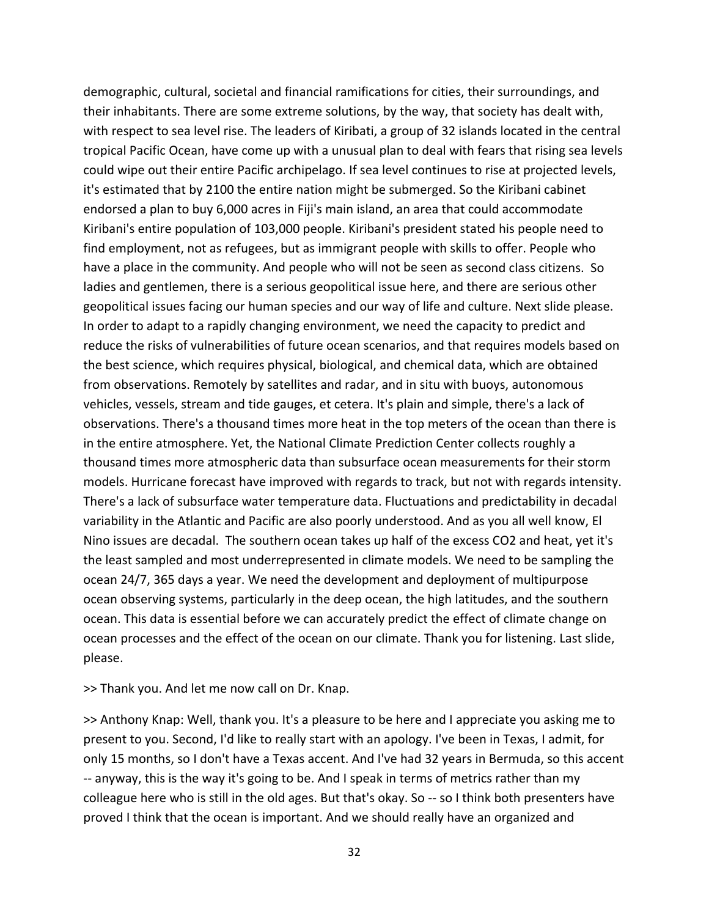demographic, cultural, societal and financial ramifications for cities, their surroundings, and their inhabitants. There are some extreme solutions, by the way, that society has dealt with, with respect to sea level rise. The leaders of Kiribati, a group of 32 islands located in the central tropical Pacific Ocean, have come up with a unusual plan to deal with fears that rising sea levels could wipe out their entire Pacific archipelago. If sea level continues to rise at projected levels, it's estimated that by 2100 the entire nation might be submerged. So the Kiribani cabinet endorsed a plan to buy 6,000 acres in Fiji's main island, an area that could accommodate Kiribani's entire population of 103,000 people. Kiribani's president stated his people need to find employment, not as refugees, but as immigrant people with skills to offer. People who have a place in the community. And people who will not be seen as second class citizens. So ladies and gentlemen, there is a serious geopolitical issue here, and there are serious other geopolitical issues facing our human species and our way of life and culture. Next slide please. In order to adapt to a rapidly changing environment, we need the capacity to predict and reduce the risks of vulnerabilities of future ocean scenarios, and that requires models based on the best science, which requires physical, biological, and chemical data, which are obtained from observations. Remotely by satellites and radar, and in situ with buoys, autonomous vehicles, vessels, stream and tide gauges, et cetera. It's plain and simple, there's a lack of observations. There's a thousand times more heat in the top meters of the ocean than there is in the entire atmosphere. Yet, the National Climate Prediction Center collects roughly a thousand times more atmospheric data than subsurface ocean measurements for their storm models. Hurricane forecast have improved with regards to track, but not with regards intensity. There's a lack of subsurface water temperature data. Fluctuations and predictability in decadal variability in the Atlantic and Pacific are also poorly understood. And as you all well know, El Nino issues are decadal. The southern ocean takes up half of the excess CO2 and heat, yet it's the least sampled and most underrepresented in climate models. We need to be sampling the ocean 24/7, 365 days a year. We need the development and deployment of multipurpose ocean observing systems, particularly in the deep ocean, the high latitudes, and the southern ocean. This data is essential before we can accurately predict the effect of climate change on ocean processes and the effect of the ocean on our climate. Thank you for listening. Last slide, please.

>> Thank you. And let me now call on Dr. Knap.

>> Anthony Knap: Well, thank you. It's a pleasure to be here and I appreciate you asking me to present to you. Second, I'd like to really start with an apology. I've been in Texas, I admit, for only 15 months, so I don't have a Texas accent. And I've had 32 years in Bermuda, so this accent ‐‐ anyway, this is the way it's going to be. And I speak in terms of metrics rather than my colleague here who is still in the old ages. But that's okay. So ‐‐ so I think both presenters have proved I think that the ocean is important. And we should really have an organized and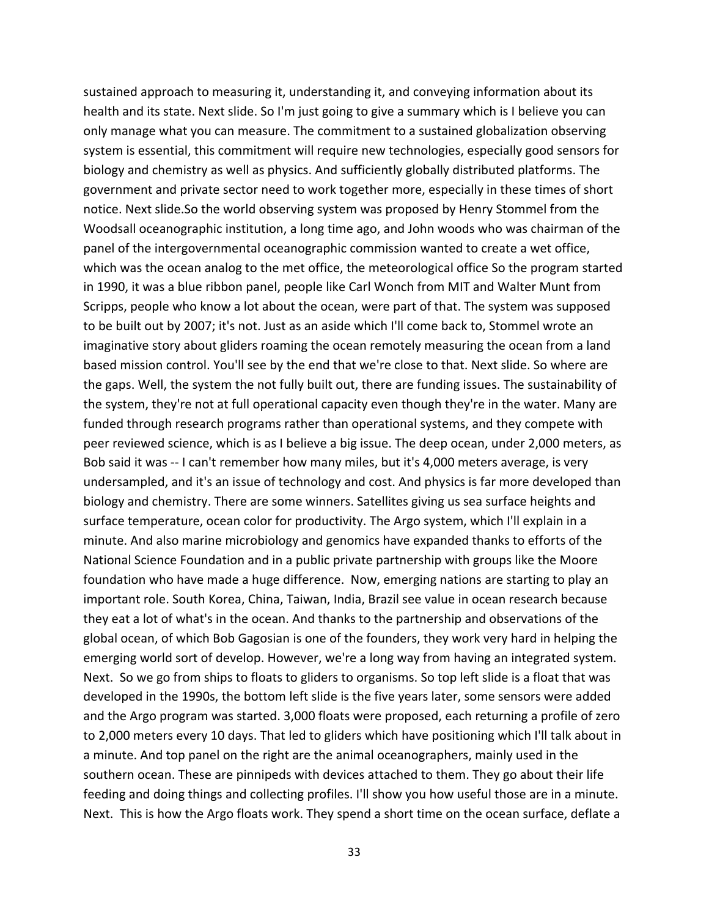sustained approach to measuring it, understanding it, and conveying information about its health and its state. Next slide. So I'm just going to give a summary which is I believe you can only manage what you can measure. The commitment to a sustained globalization observing system is essential, this commitment will require new technologies, especially good sensors for biology and chemistry as well as physics. And sufficiently globally distributed platforms. The government and private sector need to work together more, especially in these times of short notice. Next slide.So the world observing system was proposed by Henry Stommel from the Woodsall oceanographic institution, a long time ago, and John woods who was chairman of the panel of the intergovernmental oceanographic commission wanted to create a wet office, which was the ocean analog to the met office, the meteorological office So the program started in 1990, it was a blue ribbon panel, people like Carl Wonch from MIT and Walter Munt from Scripps, people who know a lot about the ocean, were part of that. The system was supposed to be built out by 2007; it's not. Just as an aside which I'll come back to, Stommel wrote an imaginative story about gliders roaming the ocean remotely measuring the ocean from a land based mission control. You'll see by the end that we're close to that. Next slide. So where are the gaps. Well, the system the not fully built out, there are funding issues. The sustainability of the system, they're not at full operational capacity even though they're in the water. Many are funded through research programs rather than operational systems, and they compete with peer reviewed science, which is as I believe a big issue. The deep ocean, under 2,000 meters, as Bob said it was ‐‐ I can't remember how many miles, but it's 4,000 meters average, is very undersampled, and it's an issue of technology and cost. And physics is far more developed than biology and chemistry. There are some winners. Satellites giving us sea surface heights and surface temperature, ocean color for productivity. The Argo system, which I'll explain in a minute. And also marine microbiology and genomics have expanded thanks to efforts of the National Science Foundation and in a public private partnership with groups like the Moore foundation who have made a huge difference. Now, emerging nations are starting to play an important role. South Korea, China, Taiwan, India, Brazil see value in ocean research because they eat a lot of what's in the ocean. And thanks to the partnership and observations of the global ocean, of which Bob Gagosian is one of the founders, they work very hard in helping the emerging world sort of develop. However, we're a long way from having an integrated system. Next. So we go from ships to floats to gliders to organisms. So top left slide is a float that was developed in the 1990s, the bottom left slide is the five years later, some sensors were added and the Argo program was started. 3,000 floats were proposed, each returning a profile of zero to 2,000 meters every 10 days. That led to gliders which have positioning which I'll talk about in a minute. And top panel on the right are the animal oceanographers, mainly used in the southern ocean. These are pinnipeds with devices attached to them. They go about their life feeding and doing things and collecting profiles. I'll show you how useful those are in a minute. Next. This is how the Argo floats work. They spend a short time on the ocean surface, deflate a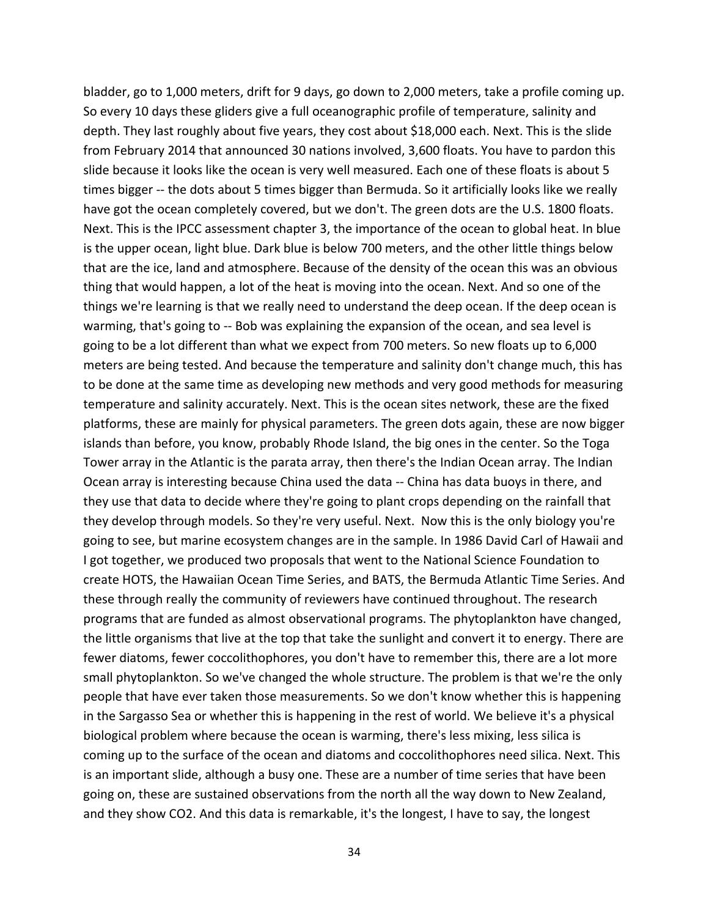bladder, go to 1,000 meters, drift for 9 days, go down to 2,000 meters, take a profile coming up. So every 10 days these gliders give a full oceanographic profile of temperature, salinity and depth. They last roughly about five years, they cost about \$18,000 each. Next. This is the slide from February 2014 that announced 30 nations involved, 3,600 floats. You have to pardon this slide because it looks like the ocean is very well measured. Each one of these floats is about 5 times bigger -- the dots about 5 times bigger than Bermuda. So it artificially looks like we really have got the ocean completely covered, but we don't. The green dots are the U.S. 1800 floats. Next. This is the IPCC assessment chapter 3, the importance of the ocean to global heat. In blue is the upper ocean, light blue. Dark blue is below 700 meters, and the other little things below that are the ice, land and atmosphere. Because of the density of the ocean this was an obvious thing that would happen, a lot of the heat is moving into the ocean. Next. And so one of the things we're learning is that we really need to understand the deep ocean. If the deep ocean is warming, that's going to ‐‐ Bob was explaining the expansion of the ocean, and sea level is going to be a lot different than what we expect from 700 meters. So new floats up to 6,000 meters are being tested. And because the temperature and salinity don't change much, this has to be done at the same time as developing new methods and very good methods for measuring temperature and salinity accurately. Next. This is the ocean sites network, these are the fixed platforms, these are mainly for physical parameters. The green dots again, these are now bigger islands than before, you know, probably Rhode Island, the big ones in the center. So the Toga Tower array in the Atlantic is the parata array, then there's the Indian Ocean array. The Indian Ocean array is interesting because China used the data ‐‐ China has data buoys in there, and they use that data to decide where they're going to plant crops depending on the rainfall that they develop through models. So they're very useful. Next. Now this is the only biology you're going to see, but marine ecosystem changes are in the sample. In 1986 David Carl of Hawaii and I got together, we produced two proposals that went to the National Science Foundation to create HOTS, the Hawaiian Ocean Time Series, and BATS, the Bermuda Atlantic Time Series. And these through really the community of reviewers have continued throughout. The research programs that are funded as almost observational programs. The phytoplankton have changed, the little organisms that live at the top that take the sunlight and convert it to energy. There are fewer diatoms, fewer coccolithophores, you don't have to remember this, there are a lot more small phytoplankton. So we've changed the whole structure. The problem is that we're the only people that have ever taken those measurements. So we don't know whether this is happening in the Sargasso Sea or whether this is happening in the rest of world. We believe it's a physical biological problem where because the ocean is warming, there's less mixing, less silica is coming up to the surface of the ocean and diatoms and coccolithophores need silica. Next. This is an important slide, although a busy one. These are a number of time series that have been going on, these are sustained observations from the north all the way down to New Zealand, and they show CO2. And this data is remarkable, it's the longest, I have to say, the longest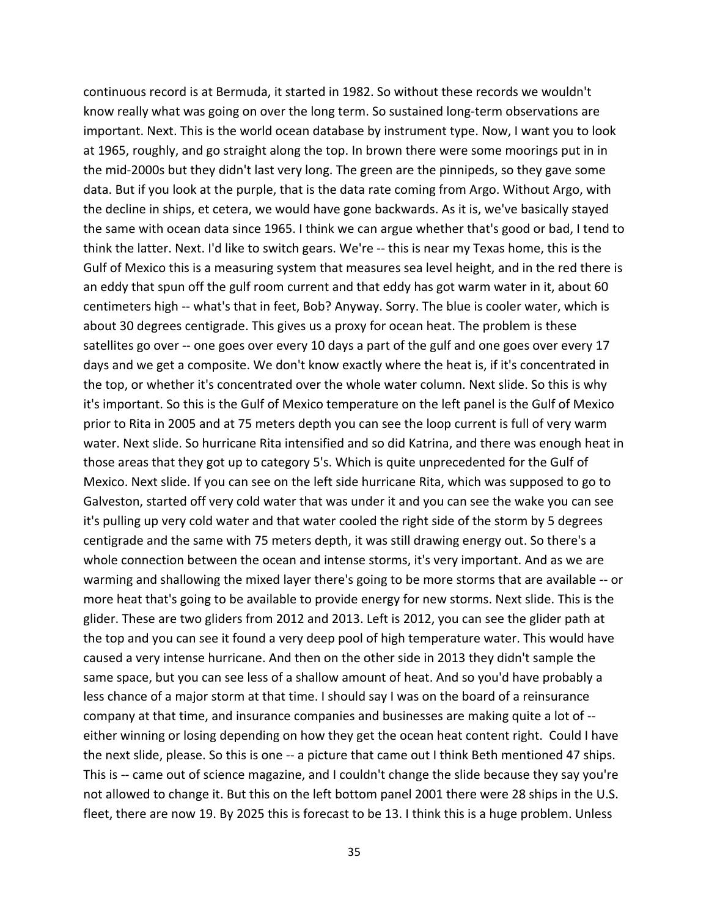continuous record is at Bermuda, it started in 1982. So without these records we wouldn't know really what was going on over the long term. So sustained long-term observations are important. Next. This is the world ocean database by instrument type. Now, I want you to look at 1965, roughly, and go straight along the top. In brown there were some moorings put in in the mid‐2000s but they didn't last very long. The green are the pinnipeds, so they gave some data. But if you look at the purple, that is the data rate coming from Argo. Without Argo, with the decline in ships, et cetera, we would have gone backwards. As it is, we've basically stayed the same with ocean data since 1965. I think we can argue whether that's good or bad, I tend to think the latter. Next. I'd like to switch gears. We're ‐‐ this is near my Texas home, this is the Gulf of Mexico this is a measuring system that measures sea level height, and in the red there is an eddy that spun off the gulf room current and that eddy has got warm water in it, about 60 centimeters high ‐‐ what's that in feet, Bob? Anyway. Sorry. The blue is cooler water, which is about 30 degrees centigrade. This gives us a proxy for ocean heat. The problem is these satellites go over -- one goes over every 10 days a part of the gulf and one goes over every 17 days and we get a composite. We don't know exactly where the heat is, if it's concentrated in the top, or whether it's concentrated over the whole water column. Next slide. So this is why it's important. So this is the Gulf of Mexico temperature on the left panel is the Gulf of Mexico prior to Rita in 2005 and at 75 meters depth you can see the loop current is full of very warm water. Next slide. So hurricane Rita intensified and so did Katrina, and there was enough heat in those areas that they got up to category 5's. Which is quite unprecedented for the Gulf of Mexico. Next slide. If you can see on the left side hurricane Rita, which was supposed to go to Galveston, started off very cold water that was under it and you can see the wake you can see it's pulling up very cold water and that water cooled the right side of the storm by 5 degrees centigrade and the same with 75 meters depth, it was still drawing energy out. So there's a whole connection between the ocean and intense storms, it's very important. And as we are warming and shallowing the mixed layer there's going to be more storms that are available ‐‐ or more heat that's going to be available to provide energy for new storms. Next slide. This is the glider. These are two gliders from 2012 and 2013. Left is 2012, you can see the glider path at the top and you can see it found a very deep pool of high temperature water. This would have caused a very intense hurricane. And then on the other side in 2013 they didn't sample the same space, but you can see less of a shallow amount of heat. And so you'd have probably a less chance of a major storm at that time. I should say I was on the board of a reinsurance company at that time, and insurance companies and businesses are making quite a lot of ‐‐ either winning or losing depending on how they get the ocean heat content right. Could I have the next slide, please. So this is one ‐‐ a picture that came out I think Beth mentioned 47 ships. This is -- came out of science magazine, and I couldn't change the slide because they say you're not allowed to change it. But this on the left bottom panel 2001 there were 28 ships in the U.S. fleet, there are now 19. By 2025 this is forecast to be 13. I think this is a huge problem. Unless

35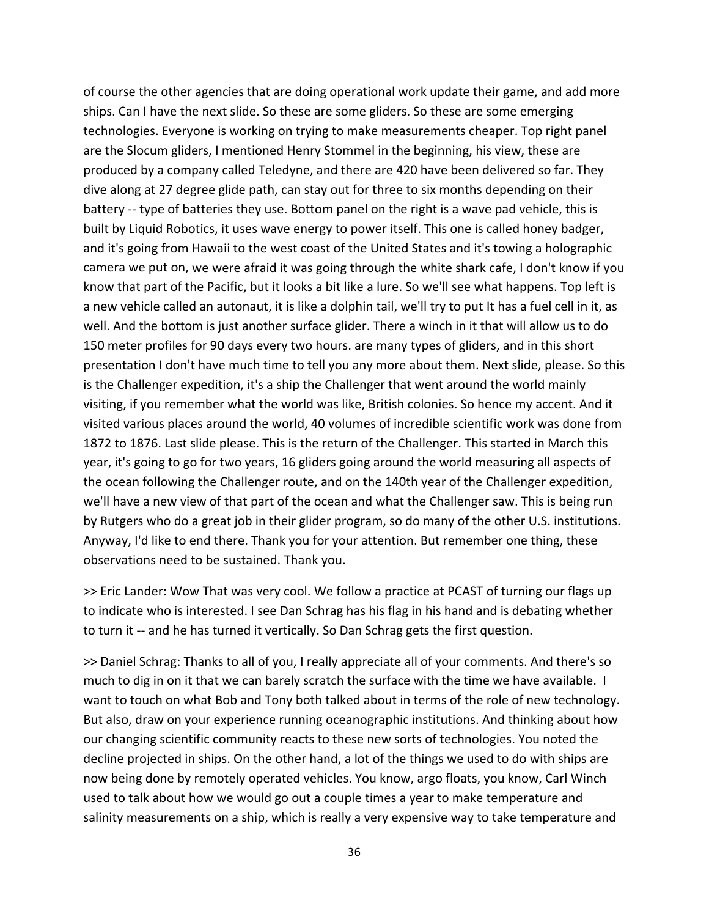of course the other agencies that are doing operational work update their game, and add more ships. Can I have the next slide. So these are some gliders. So these are some emerging technologies. Everyone is working on trying to make measurements cheaper. Top right panel are the Slocum gliders, I mentioned Henry Stommel in the beginning, his view, these are produced by a company called Teledyne, and there are 420 have been delivered so far. They dive along at 27 degree glide path, can stay out for three to six months depending on their battery -- type of batteries they use. Bottom panel on the right is a wave pad vehicle, this is built by Liquid Robotics, it uses wave energy to power itself. This one is called honey badger, and it's going from Hawaii to the west coast of the United States and it's towing a holographic camera we put on, we were afraid it was going through the white shark cafe, I don't know if you know that part of the Pacific, but it looks a bit like a lure. So we'll see what happens. Top left is a new vehicle called an autonaut, it is like a dolphin tail, we'll try to put It has a fuel cell in it, as well. And the bottom is just another surface glider. There a winch in it that will allow us to do 150 meter profiles for 90 days every two hours. are many types of gliders, and in this short presentation I don't have much time to tell you any more about them. Next slide, please. So this is the Challenger expedition, it's a ship the Challenger that went around the world mainly visiting, if you remember what the world was like, British colonies. So hence my accent. And it visited various places around the world, 40 volumes of incredible scientific work was done from 1872 to 1876. Last slide please. This is the return of the Challenger. This started in March this year, it's going to go for two years, 16 gliders going around the world measuring all aspects of the ocean following the Challenger route, and on the 140th year of the Challenger expedition, we'll have a new view of that part of the ocean and what the Challenger saw. This is being run by Rutgers who do a great job in their glider program, so do many of the other U.S. institutions. Anyway, I'd like to end there. Thank you for your attention. But remember one thing, these observations need to be sustained. Thank you.

>> Eric Lander: Wow That was very cool. We follow a practice at PCAST of turning our flags up to indicate who is interested. I see Dan Schrag has his flag in his hand and is debating whether to turn it -- and he has turned it vertically. So Dan Schrag gets the first question.

>> Daniel Schrag: Thanks to all of you, I really appreciate all of your comments. And there's so much to dig in on it that we can barely scratch the surface with the time we have available. I want to touch on what Bob and Tony both talked about in terms of the role of new technology. But also, draw on your experience running oceanographic institutions. And thinking about how our changing scientific community reacts to these new sorts of technologies. You noted the decline projected in ships. On the other hand, a lot of the things we used to do with ships are now being done by remotely operated vehicles. You know, argo floats, you know, Carl Winch used to talk about how we would go out a couple times a year to make temperature and salinity measurements on a ship, which is really a very expensive way to take temperature and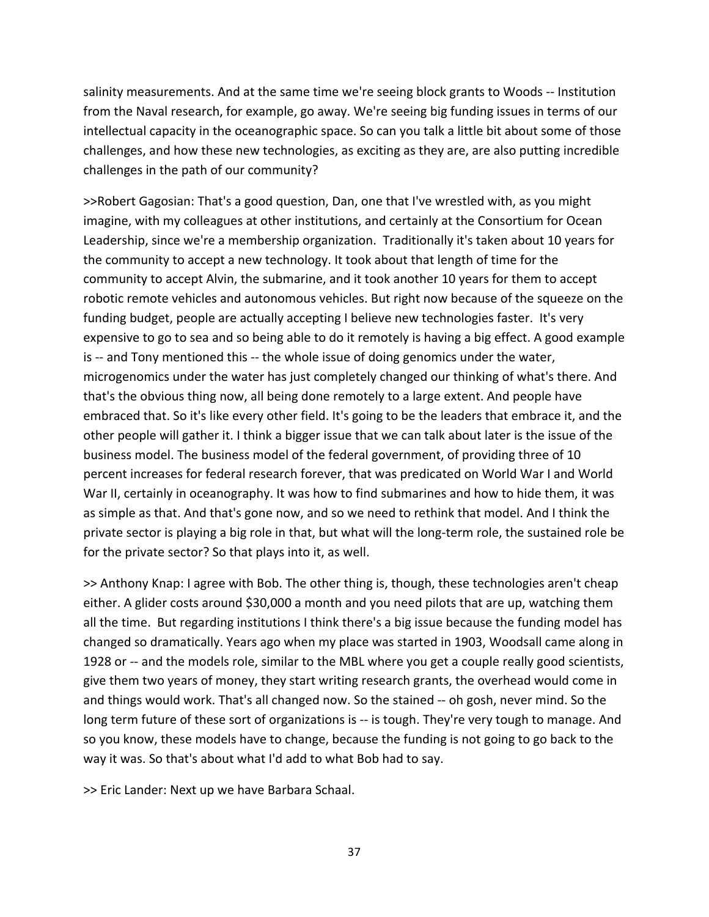salinity measurements. And at the same time we're seeing block grants to Woods ‐‐ Institution from the Naval research, for example, go away. We're seeing big funding issues in terms of our intellectual capacity in the oceanographic space. So can you talk a little bit about some of those challenges, and how these new technologies, as exciting as they are, are also putting incredible challenges in the path of our community?

>>Robert Gagosian: That's a good question, Dan, one that I've wrestled with, as you might imagine, with my colleagues at other institutions, and certainly at the Consortium for Ocean Leadership, since we're a membership organization. Traditionally it's taken about 10 years for the community to accept a new technology. It took about that length of time for the community to accept Alvin, the submarine, and it took another 10 years for them to accept robotic remote vehicles and autonomous vehicles. But right now because of the squeeze on the funding budget, people are actually accepting I believe new technologies faster. It's very expensive to go to sea and so being able to do it remotely is having a big effect. A good example is -- and Tony mentioned this -- the whole issue of doing genomics under the water, microgenomics under the water has just completely changed our thinking of what's there. And that's the obvious thing now, all being done remotely to a large extent. And people have embraced that. So it's like every other field. It's going to be the leaders that embrace it, and the other people will gather it. I think a bigger issue that we can talk about later is the issue of the business model. The business model of the federal government, of providing three of 10 percent increases for federal research forever, that was predicated on World War I and World War II, certainly in oceanography. It was how to find submarines and how to hide them, it was as simple as that. And that's gone now, and so we need to rethink that model. And I think the private sector is playing a big role in that, but what will the long‐term role, the sustained role be for the private sector? So that plays into it, as well.

>> Anthony Knap: I agree with Bob. The other thing is, though, these technologies aren't cheap either. A glider costs around \$30,000 a month and you need pilots that are up, watching them all the time. But regarding institutions I think there's a big issue because the funding model has changed so dramatically. Years ago when my place was started in 1903, Woodsall came along in 1928 or -- and the models role, similar to the MBL where you get a couple really good scientists, give them two years of money, they start writing research grants, the overhead would come in and things would work. That's all changed now. So the stained ‐‐ oh gosh, never mind. So the long term future of these sort of organizations is -- is tough. They're very tough to manage. And so you know, these models have to change, because the funding is not going to go back to the way it was. So that's about what I'd add to what Bob had to say.

>> Eric Lander: Next up we have Barbara Schaal.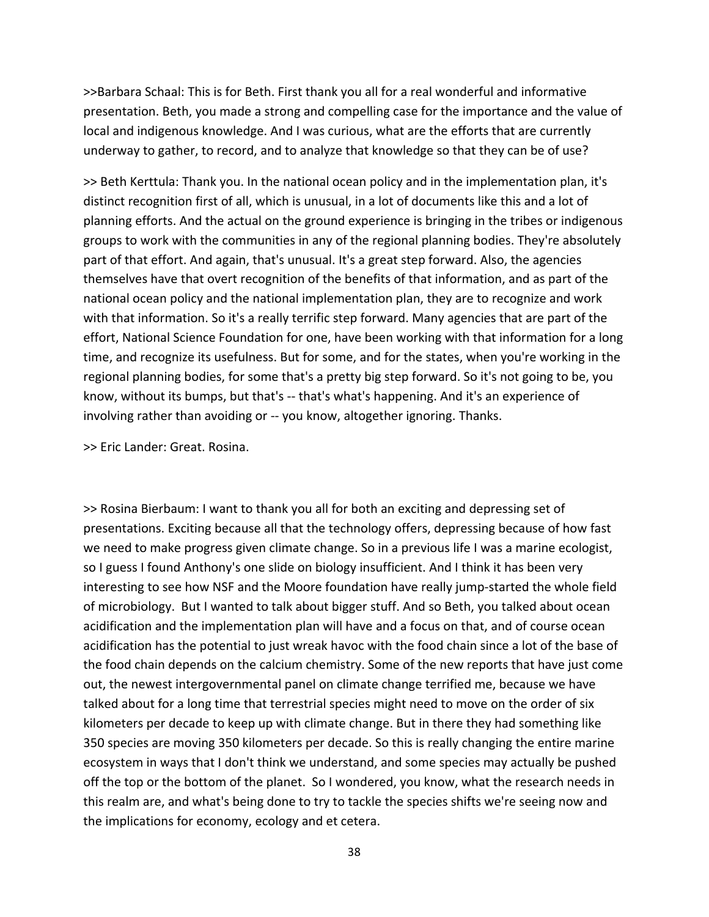>>Barbara Schaal: This is for Beth. First thank you all for a real wonderful and informative presentation. Beth, you made a strong and compelling case for the importance and the value of local and indigenous knowledge. And I was curious, what are the efforts that are currently underway to gather, to record, and to analyze that knowledge so that they can be of use?

>> Beth Kerttula: Thank you. In the national ocean policy and in the implementation plan, it's distinct recognition first of all, which is unusual, in a lot of documents like this and a lot of planning efforts. And the actual on the ground experience is bringing in the tribes or indigenous groups to work with the communities in any of the regional planning bodies. They're absolutely part of that effort. And again, that's unusual. It's a great step forward. Also, the agencies themselves have that overt recognition of the benefits of that information, and as part of the national ocean policy and the national implementation plan, they are to recognize and work with that information. So it's a really terrific step forward. Many agencies that are part of the effort, National Science Foundation for one, have been working with that information for a long time, and recognize its usefulness. But for some, and for the states, when you're working in the regional planning bodies, for some that's a pretty big step forward. So it's not going to be, you know, without its bumps, but that's -- that's what's happening. And it's an experience of involving rather than avoiding or ‐‐ you know, altogether ignoring. Thanks.

>> Eric Lander: Great. Rosina.

>> Rosina Bierbaum: I want to thank you all for both an exciting and depressing set of presentations. Exciting because all that the technology offers, depressing because of how fast we need to make progress given climate change. So in a previous life I was a marine ecologist, so I guess I found Anthony's one slide on biology insufficient. And I think it has been very interesting to see how NSF and the Moore foundation have really jump-started the whole field of microbiology. But I wanted to talk about bigger stuff. And so Beth, you talked about ocean acidification and the implementation plan will have and a focus on that, and of course ocean acidification has the potential to just wreak havoc with the food chain since a lot of the base of the food chain depends on the calcium chemistry. Some of the new reports that have just come out, the newest intergovernmental panel on climate change terrified me, because we have talked about for a long time that terrestrial species might need to move on the order of six kilometers per decade to keep up with climate change. But in there they had something like 350 species are moving 350 kilometers per decade. So this is really changing the entire marine ecosystem in ways that I don't think we understand, and some species may actually be pushed off the top or the bottom of the planet. So I wondered, you know, what the research needs in this realm are, and what's being done to try to tackle the species shifts we're seeing now and the implications for economy, ecology and et cetera.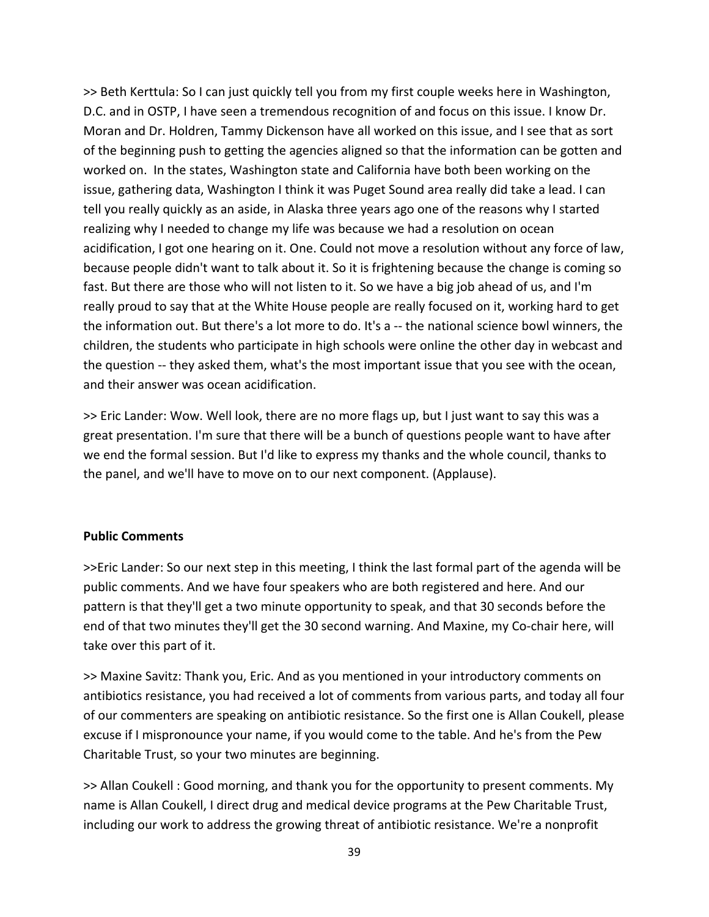>> Beth Kerttula: So I can just quickly tell you from my first couple weeks here in Washington, D.C. and in OSTP, I have seen a tremendous recognition of and focus on this issue. I know Dr. Moran and Dr. Holdren, Tammy Dickenson have all worked on this issue, and I see that as sort of the beginning push to getting the agencies aligned so that the information can be gotten and worked on. In the states, Washington state and California have both been working on the issue, gathering data, Washington I think it was Puget Sound area really did take a lead. I can tell you really quickly as an aside, in Alaska three years ago one of the reasons why I started realizing why I needed to change my life was because we had a resolution on ocean acidification, I got one hearing on it. One. Could not move a resolution without any force of law, because people didn't want to talk about it. So it is frightening because the change is coming so fast. But there are those who will not listen to it. So we have a big job ahead of us, and I'm really proud to say that at the White House people are really focused on it, working hard to get the information out. But there's a lot more to do. It's a ‐‐ the national science bowl winners, the children, the students who participate in high schools were online the other day in webcast and the question ‐‐ they asked them, what's the most important issue that you see with the ocean, and their answer was ocean acidification.

>> Eric Lander: Wow. Well look, there are no more flags up, but I just want to say this was a great presentation. I'm sure that there will be a bunch of questions people want to have after we end the formal session. But I'd like to express my thanks and the whole council, thanks to the panel, and we'll have to move on to our next component. (Applause).

## **Public Comments**

>>Eric Lander: So our next step in this meeting, I think the last formal part of the agenda will be public comments. And we have four speakers who are both registered and here. And our pattern is that they'll get a two minute opportunity to speak, and that 30 seconds before the end of that two minutes they'll get the 30 second warning. And Maxine, my Co-chair here, will take over this part of it.

>> Maxine Savitz: Thank you, Eric. And as you mentioned in your introductory comments on antibiotics resistance, you had received a lot of comments from various parts, and today all four of our commenters are speaking on antibiotic resistance. So the first one is Allan Coukell, please excuse if I mispronounce your name, if you would come to the table. And he's from the Pew Charitable Trust, so your two minutes are beginning.

>> Allan Coukell : Good morning, and thank you for the opportunity to present comments. My name is Allan Coukell, I direct drug and medical device programs at the Pew Charitable Trust, including our work to address the growing threat of antibiotic resistance. We're a nonprofit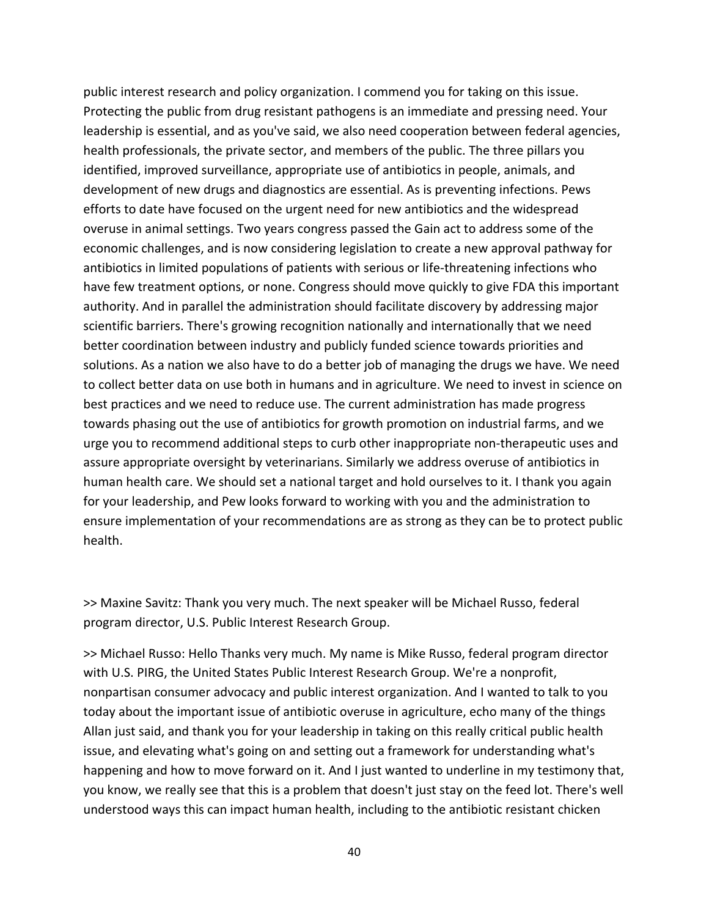public interest research and policy organization. I commend you for taking on this issue. Protecting the public from drug resistant pathogens is an immediate and pressing need. Your leadership is essential, and as you've said, we also need cooperation between federal agencies, health professionals, the private sector, and members of the public. The three pillars you identified, improved surveillance, appropriate use of antibiotics in people, animals, and development of new drugs and diagnostics are essential. As is preventing infections. Pews efforts to date have focused on the urgent need for new antibiotics and the widespread overuse in animal settings. Two years congress passed the Gain act to address some of the economic challenges, and is now considering legislation to create a new approval pathway for antibiotics in limited populations of patients with serious or life‐threatening infections who have few treatment options, or none. Congress should move quickly to give FDA this important authority. And in parallel the administration should facilitate discovery by addressing major scientific barriers. There's growing recognition nationally and internationally that we need better coordination between industry and publicly funded science towards priorities and solutions. As a nation we also have to do a better job of managing the drugs we have. We need to collect better data on use both in humans and in agriculture. We need to invest in science on best practices and we need to reduce use. The current administration has made progress towards phasing out the use of antibiotics for growth promotion on industrial farms, and we urge you to recommend additional steps to curb other inappropriate non‐therapeutic uses and assure appropriate oversight by veterinarians. Similarly we address overuse of antibiotics in human health care. We should set a national target and hold ourselves to it. I thank you again for your leadership, and Pew looks forward to working with you and the administration to ensure implementation of your recommendations are as strong as they can be to protect public health.

>> Maxine Savitz: Thank you very much. The next speaker will be Michael Russo, federal program director, U.S. Public Interest Research Group.

>> Michael Russo: Hello Thanks very much. My name is Mike Russo, federal program director with U.S. PIRG, the United States Public Interest Research Group. We're a nonprofit, nonpartisan consumer advocacy and public interest organization. And I wanted to talk to you today about the important issue of antibiotic overuse in agriculture, echo many of the things Allan just said, and thank you for your leadership in taking on this really critical public health issue, and elevating what's going on and setting out a framework for understanding what's happening and how to move forward on it. And I just wanted to underline in my testimony that, you know, we really see that this is a problem that doesn't just stay on the feed lot. There's well understood ways this can impact human health, including to the antibiotic resistant chicken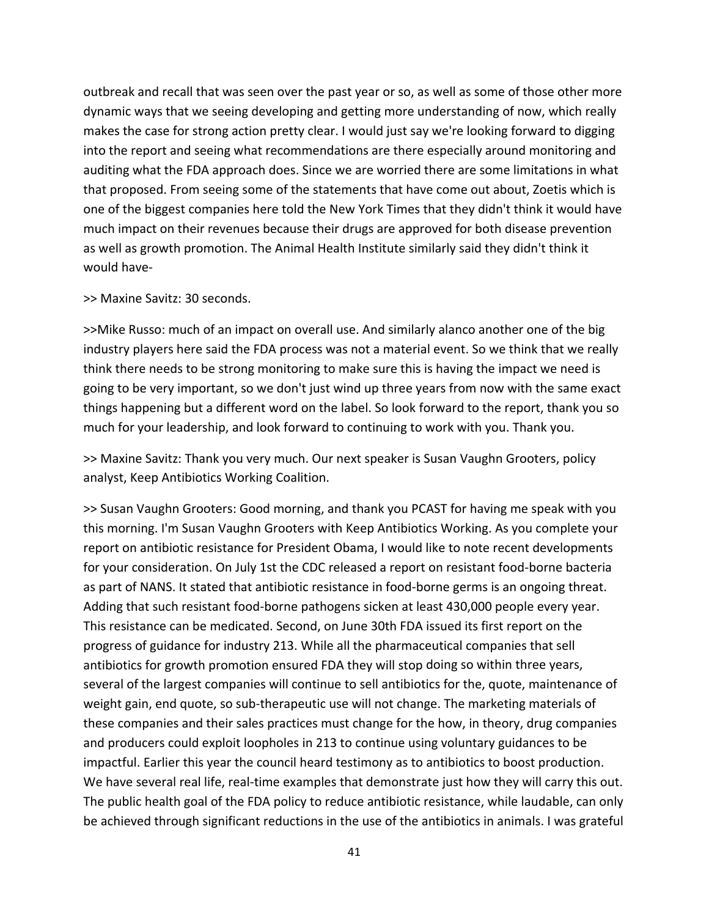outbreak and recall that was seen over the past year or so, as well as some of those other more dynamic ways that we seeing developing and getting more understanding of now, which really makes the case for strong action pretty clear. I would just say we're looking forward to digging into the report and seeing what recommendations are there especially around monitoring and auditing what the FDA approach does. Since we are worried there are some limitations in what that proposed. From seeing some of the statements that have come out about, Zoetis which is one of the biggest companies here told the New York Times that they didn't think it would have much impact on their revenues because their drugs are approved for both disease prevention as well as growth promotion. The Animal Health Institute similarly said they didn't think it would have‐

#### >> Maxine Savitz: 30 seconds.

>>Mike Russo: much of an impact on overall use. And similarly alanco another one of the big industry players here said the FDA process was not a material event. So we think that we really think there needs to be strong monitoring to make sure this is having the impact we need is going to be very important, so we don't just wind up three years from now with the same exact things happening but a different word on the label. So look forward to the report, thank you so much for your leadership, and look forward to continuing to work with you. Thank you.

>> Maxine Savitz: Thank you very much. Our next speaker is Susan Vaughn Grooters, policy analyst, Keep Antibiotics Working Coalition.

>> Susan Vaughn Grooters: Good morning, and thank you PCAST for having me speak with you this morning. I'm Susan Vaughn Grooters with Keep Antibiotics Working. As you complete your report on antibiotic resistance for President Obama, I would like to note recent developments for your consideration. On July 1st the CDC released a report on resistant food‐borne bacteria as part of NANS. It stated that antibiotic resistance in food‐borne germs is an ongoing threat. Adding that such resistant food‐borne pathogens sicken at least 430,000 people every year. This resistance can be medicated. Second, on June 30th FDA issued its first report on the progress of guidance for industry 213. While all the pharmaceutical companies that sell antibiotics for growth promotion ensured FDA they will stop doing so within three years, several of the largest companies will continue to sell antibiotics for the, quote, maintenance of weight gain, end quote, so sub-therapeutic use will not change. The marketing materials of these companies and their sales practices must change for the how, in theory, drug companies and producers could exploit loopholes in 213 to continue using voluntary guidances to be impactful. Earlier this year the council heard testimony as to antibiotics to boost production. We have several real life, real-time examples that demonstrate just how they will carry this out. The public health goal of the FDA policy to reduce antibiotic resistance, while laudable, can only be achieved through significant reductions in the use of the antibiotics in animals. I was grateful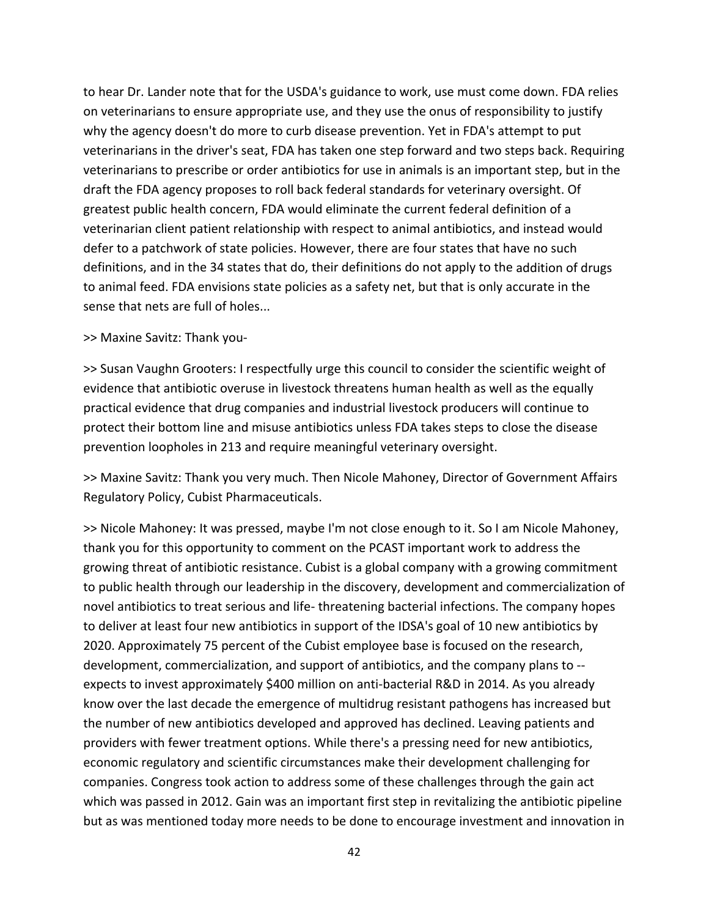to hear Dr. Lander note that for the USDA's guidance to work, use must come down. FDA relies on veterinarians to ensure appropriate use, and they use the onus of responsibility to justify why the agency doesn't do more to curb disease prevention. Yet in FDA's attempt to put veterinarians in the driver's seat, FDA has taken one step forward and two steps back. Requiring veterinarians to prescribe or order antibiotics for use in animals is an important step, but in the draft the FDA agency proposes to roll back federal standards for veterinary oversight. Of greatest public health concern, FDA would eliminate the current federal definition of a veterinarian client patient relationship with respect to animal antibiotics, and instead would defer to a patchwork of state policies. However, there are four states that have no such definitions, and in the 34 states that do, their definitions do not apply to the addition of drugs to animal feed. FDA envisions state policies as a safety net, but that is only accurate in the sense that nets are full of holes...

### >> Maxine Savitz: Thank you‐

>> Susan Vaughn Grooters: I respectfully urge this council to consider the scientific weight of evidence that antibiotic overuse in livestock threatens human health as well as the equally practical evidence that drug companies and industrial livestock producers will continue to protect their bottom line and misuse antibiotics unless FDA takes steps to close the disease prevention loopholes in 213 and require meaningful veterinary oversight.

>> Maxine Savitz: Thank you very much. Then Nicole Mahoney, Director of Government Affairs Regulatory Policy, Cubist Pharmaceuticals.

>> Nicole Mahoney: It was pressed, maybe I'm not close enough to it. So I am Nicole Mahoney, thank you for this opportunity to comment on the PCAST important work to address the growing threat of antibiotic resistance. Cubist is a global company with a growing commitment to public health through our leadership in the discovery, development and commercialization of novel antibiotics to treat serious and life‐ threatening bacterial infections. The company hopes to deliver at least four new antibiotics in support of the IDSA's goal of 10 new antibiotics by 2020. Approximately 75 percent of the Cubist employee base is focused on the research, development, commercialization, and support of antibiotics, and the company plans to ‐‐ expects to invest approximately \$400 million on anti‐bacterial R&D in 2014. As you already know over the last decade the emergence of multidrug resistant pathogens has increased but the number of new antibiotics developed and approved has declined. Leaving patients and providers with fewer treatment options. While there's a pressing need for new antibiotics, economic regulatory and scientific circumstances make their development challenging for companies. Congress took action to address some of these challenges through the gain act which was passed in 2012. Gain was an important first step in revitalizing the antibiotic pipeline but as was mentioned today more needs to be done to encourage investment and innovation in